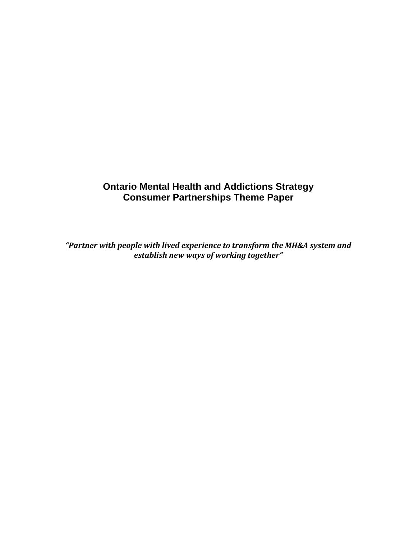# **Ontario Mental Health and Addictions Strategy Consumer Partnerships Theme Paper**

*"Partner with people with lived experience to transform the MH&A system and establish new ways of working together"*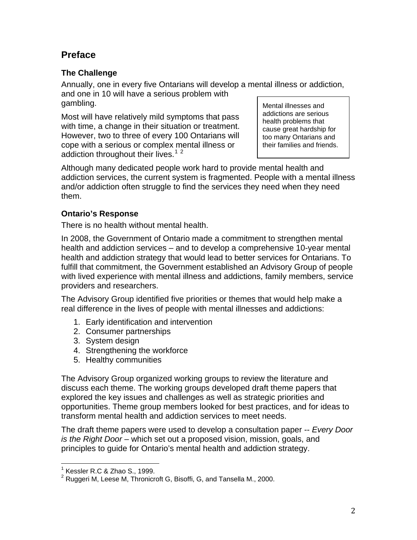# **Preface**

## **The Challenge**

Annually, one in every five Ontarians will develop a mental illness or addiction, and one in 10 will have a serious problem with gambling.

Most will have relatively mild symptoms that pass with time, a change in their situation or treatment. However, two to three of every 100 Ontarians will cope with a serious or complex mental illness or addiction throughout their lives.<sup>[1](#page-1-0)[2](#page-1-1)</sup>

Mental illnesses and addictions are serious health problems that cause great hardship for too many Ontarians and their families and friends.

Although many dedicated people work hard to provide mental health and addiction services, the current system is fragmented. People with a mental illness and/or addiction often struggle to find the services they need when they need them.

## **Ontario's Response**

There is no health without mental health.

In 2008, the Government of Ontario made a commitment to strengthen mental health and addiction services – and to develop a comprehensive 10-year mental health and addiction strategy that would lead to better services for Ontarians. To fulfill that commitment, the Government established an Advisory Group of people with lived experience with mental illness and addictions, family members, service providers and researchers.

The Advisory Group identified five priorities or themes that would help make a real difference in the lives of people with mental illnesses and addictions:

- 1. Early identification and intervention
- 2. Consumer partnerships
- 3. System design
- 4. Strengthening the workforce
- 5. Healthy communities

The Advisory Group organized working groups to review the literature and discuss each theme. The working groups developed draft theme papers that explored the key issues and challenges as well as strategic priorities and opportunities. Theme group members looked for best practices, and for ideas to transform mental health and addiction services to meet needs.

The draft theme papers were used to develop a consultation paper -- *Every Door is the Right Door* – which set out a proposed vision, mission, goals, and principles to guide for Ontario's mental health and addiction strategy.

<span id="page-1-0"></span>  $1$  Kessler R.C & Zhao S., 1999.

<span id="page-1-1"></span> $2$  Ruggeri M, Leese M, Thronicroft G, Bisoffi, G, and Tansella M., 2000.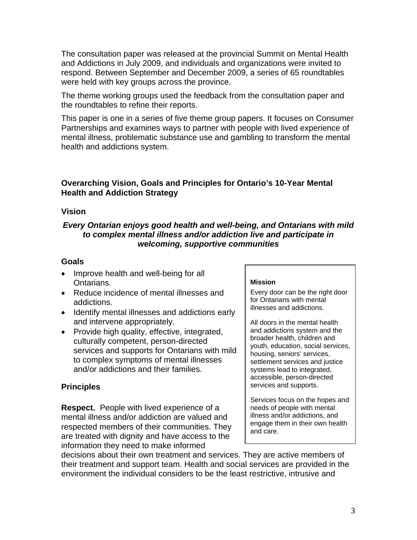The consultation paper was released at the provincial Summit on Mental Health and Addictions in July 2009, and individuals and organizations were invited to respond. Between September and December 2009, a series of 65 roundtables were held with key groups across the province.

The theme working groups used the feedback from the consultation paper and the roundtables to refine their reports.

This paper is one in a series of five theme group papers. It focuses on Consumer Partnerships and examines ways to partner with people with lived experience of mental illness, problematic substance use and gambling to transform the mental health and addictions system.

## **Overarching Vision, Goals and Principles for Ontario's 10-Year Mental Health and Addiction Strategy**

### **Vision**

## *Every Ontarian enjoys good health and well-being, and Ontarians with mild to complex mental illness and/or addiction live and participate in welcoming, supportive communities*

### **Goals**

- Improve health and well-being for all **Ontarians**
- Reduce incidence of mental illnesses and addictions.
- Identify mental illnesses and addictions early and intervene appropriately.
- Provide high quality, effective, integrated, culturally competent, person-directed services and supports for Ontarians with mild to complex symptoms of mental illnesses and/or addictions and their families.

## **Principles**

**Respect.** People with lived experience of a mental illness and/or addiction are valued and respected members of their communities. They are treated with dignity and have access to the information they need to make informed

#### **Mission**

Every door can be the right door for Ontarians with mental illnesses and addictions.

All doors in the mental health and addictions system and the broader health, children and youth, education, social services, housing, seniors' services, settlement services and justice systems lead to integrated, accessible, person-directed services and supports.

Services focus on the hopes and needs of people with mental illness and/or addictions, and engage them in their own health and care.

decisions about their own treatment and services. They are active members of their treatment and support team. Health and social services are provided in the environment the individual considers to be the least restrictive, intrusive and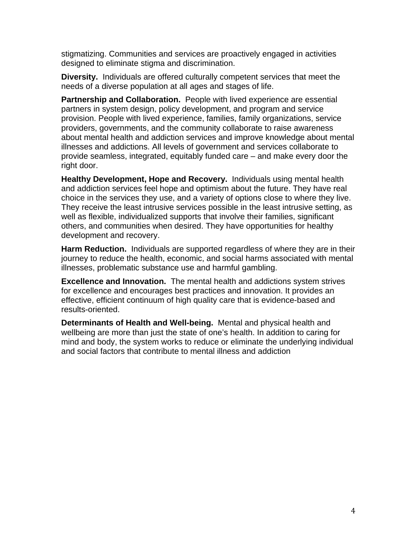stigmatizing. Communities and services are proactively engaged in activities designed to eliminate stigma and discrimination.

**Diversity.** Individuals are offered culturally competent services that meet the needs of a diverse population at all ages and stages of life.

**Partnership and Collaboration.** People with lived experience are essential partners in system design, policy development, and program and service provision. People with lived experience, families, family organizations, service providers, governments, and the community collaborate to raise awareness about mental health and addiction services and improve knowledge about mental illnesses and addictions. All levels of government and services collaborate to provide seamless, integrated, equitably funded care – and make every door the right door.

**Healthy Development, Hope and Recovery.** Individuals using mental health and addiction services feel hope and optimism about the future. They have real choice in the services they use, and a variety of options close to where they live. They receive the least intrusive services possible in the least intrusive setting, as well as flexible, individualized supports that involve their families, significant others, and communities when desired. They have opportunities for healthy development and recovery.

**Harm Reduction.** Individuals are supported regardless of where they are in their journey to reduce the health, economic, and social harms associated with mental illnesses, problematic substance use and harmful gambling.

**Excellence and Innovation.** The mental health and addictions system strives for excellence and encourages best practices and innovation. It provides an effective, efficient continuum of high quality care that is evidence-based and results-oriented.

**Determinants of Health and Well-being.** Mental and physical health and wellbeing are more than just the state of one's health. In addition to caring for mind and body, the system works to reduce or eliminate the underlying individual and social factors that contribute to mental illness and addiction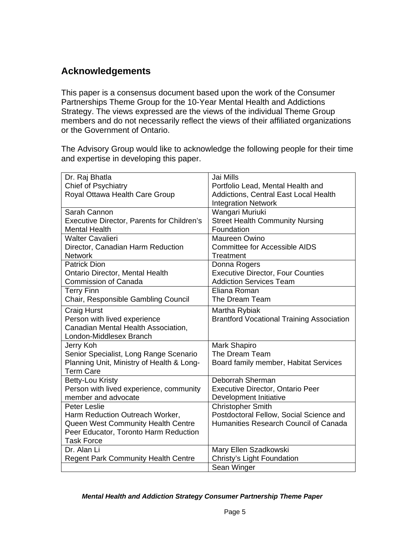# **Acknowledgements**

This paper is a consensus document based upon the work of the Consumer Partnerships Theme Group for the 10-Year Mental Health and Addictions Strategy. The views expressed are the views of the individual Theme Group members and do not necessarily reflect the views of their affiliated organizations or the Government of Ontario.

The Advisory Group would like to acknowledge the following people for their time and expertise in developing this paper.

| Dr. Raj Bhatla                                    | Jai Mills                                        |
|---------------------------------------------------|--------------------------------------------------|
| Chief of Psychiatry                               | Portfolio Lead, Mental Health and                |
| Royal Ottawa Health Care Group                    | Addictions, Central East Local Health            |
|                                                   | <b>Integration Network</b>                       |
| Sarah Cannon                                      | Wangari Muriuki                                  |
| <b>Executive Director, Parents for Children's</b> | <b>Street Health Community Nursing</b>           |
| <b>Mental Health</b>                              | Foundation                                       |
| <b>Walter Cavalieri</b>                           | Maureen Owino                                    |
| Director, Canadian Harm Reduction                 | <b>Committee for Accessible AIDS</b>             |
| <b>Network</b>                                    | Treatment                                        |
| <b>Patrick Dion</b>                               | Donna Rogers                                     |
| Ontario Director, Mental Health                   | <b>Executive Director, Four Counties</b>         |
| <b>Commission of Canada</b>                       | <b>Addiction Services Team</b>                   |
| <b>Terry Finn</b>                                 | Eliana Roman                                     |
| Chair, Responsible Gambling Council               | The Dream Team                                   |
| <b>Craig Hurst</b>                                | Martha Rybiak                                    |
| Person with lived experience                      | <b>Brantford Vocational Training Association</b> |
| Canadian Mental Health Association,               |                                                  |
| London-Middlesex Branch                           |                                                  |
| Jerry Koh                                         | Mark Shapiro                                     |
| Senior Specialist, Long Range Scenario            | The Dream Team                                   |
| Planning Unit, Ministry of Health & Long-         | Board family member, Habitat Services            |
| <b>Term Care</b>                                  |                                                  |
| Betty-Lou Kristy                                  | Deborrah Sherman                                 |
| Person with lived experience, community           | <b>Executive Director, Ontario Peer</b>          |
| member and advocate                               | Development Initiative                           |
| <b>Peter Leslie</b>                               | <b>Christopher Smith</b>                         |
| Harm Reduction Outreach Worker,                   | Postdoctoral Fellow, Social Science and          |
| Queen West Community Health Centre                | Humanities Research Council of Canada            |
| Peer Educator, Toronto Harm Reduction             |                                                  |
| <b>Task Force</b>                                 |                                                  |
| Dr. Alan Li                                       | Mary Ellen Szadkowski                            |
| <b>Regent Park Community Health Centre</b>        | Christy's Light Foundation                       |
|                                                   | Sean Winger                                      |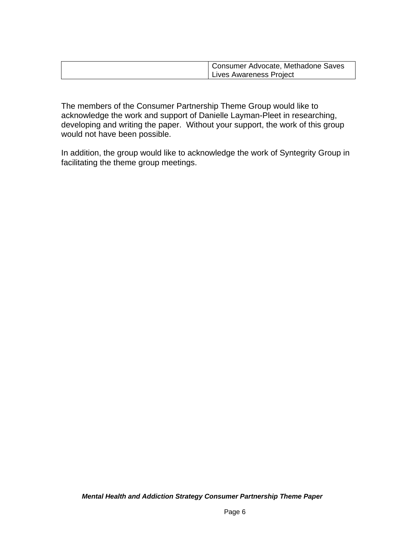| Consumer Advocate, Methadone Saves |
|------------------------------------|
| Lives Awareness Project            |

The members of the Consumer Partnership Theme Group would like to acknowledge the work and support of Danielle Layman-Pleet in researching, developing and writing the paper. Without your support, the work of this group would not have been possible.

In addition, the group would like to acknowledge the work of Syntegrity Group in facilitating the theme group meetings.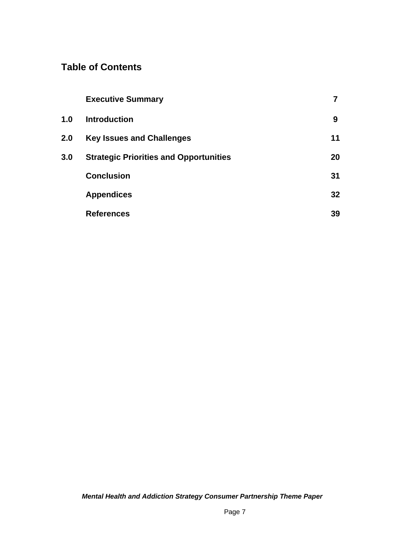# **Table of Contents**

|     | <b>Executive Summary</b>                      |                 |
|-----|-----------------------------------------------|-----------------|
| 1.0 | <b>Introduction</b>                           | 9               |
| 2.0 | <b>Key Issues and Challenges</b>              | 11              |
| 3.0 | <b>Strategic Priorities and Opportunities</b> | 20              |
|     | <b>Conclusion</b>                             | 31              |
|     | <b>Appendices</b>                             | 32 <sub>2</sub> |
|     | <b>References</b>                             | 39              |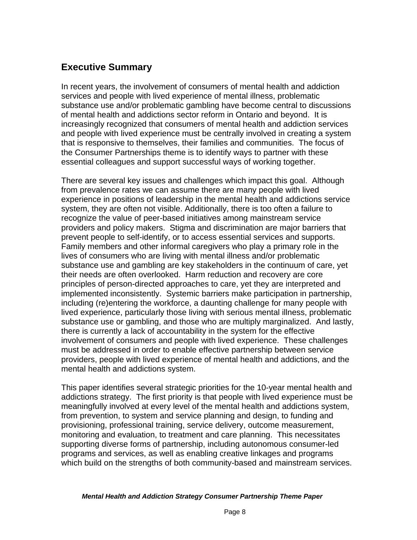# **Executive Summary**

In recent years, the involvement of consumers of mental health and addiction services and people with lived experience of mental illness, problematic substance use and/or problematic gambling have become central to discussions of mental health and addictions sector reform in Ontario and beyond. It is increasingly recognized that consumers of mental health and addiction services and people with lived experience must be centrally involved in creating a system that is responsive to themselves, their families and communities. The focus of the Consumer Partnerships theme is to identify ways to partner with these essential colleagues and support successful ways of working together.

There are several key issues and challenges which impact this goal. Although from prevalence rates we can assume there are many people with lived experience in positions of leadership in the mental health and addictions service system, they are often not visible. Additionally, there is too often a failure to recognize the value of peer-based initiatives among mainstream service providers and policy makers. Stigma and discrimination are major barriers that prevent people to self-identify, or to access essential services and supports. Family members and other informal caregivers who play a primary role in the lives of consumers who are living with mental illness and/or problematic substance use and gambling are key stakeholders in the continuum of care, yet their needs are often overlooked. Harm reduction and recovery are core principles of person-directed approaches to care, yet they are interpreted and implemented inconsistently. Systemic barriers make participation in partnership, including (re)entering the workforce, a daunting challenge for many people with lived experience, particularly those living with serious mental illness, problematic substance use or gambling, and those who are multiply marginalized. And lastly, there is currently a lack of accountability in the system for the effective involvement of consumers and people with lived experience. These challenges must be addressed in order to enable effective partnership between service providers, people with lived experience of mental health and addictions, and the mental health and addictions system.

This paper identifies several strategic priorities for the 10-year mental health and addictions strategy. The first priority is that people with lived experience must be meaningfully involved at every level of the mental health and addictions system, from prevention, to system and service planning and design, to funding and provisioning, professional training, service delivery, outcome measurement, monitoring and evaluation, to treatment and care planning. This necessitates supporting diverse forms of partnership, including autonomous consumer-led programs and services, as well as enabling creative linkages and programs which build on the strengths of both community-based and mainstream services.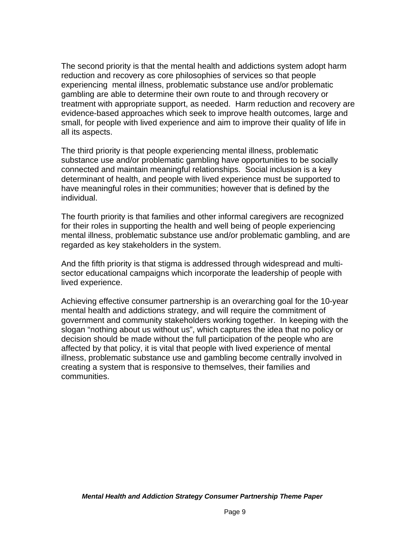The second priority is that the mental health and addictions system adopt harm reduction and recovery as core philosophies of services so that people experiencing mental illness, problematic substance use and/or problematic gambling are able to determine their own route to and through recovery or treatment with appropriate support, as needed. Harm reduction and recovery are evidence-based approaches which seek to improve health outcomes, large and small, for people with lived experience and aim to improve their quality of life in all its aspects.

The third priority is that people experiencing mental illness, problematic substance use and/or problematic gambling have opportunities to be socially connected and maintain meaningful relationships. Social inclusion is a key determinant of health, and people with lived experience must be supported to have meaningful roles in their communities; however that is defined by the individual.

The fourth priority is that families and other informal caregivers are recognized for their roles in supporting the health and well being of people experiencing mental illness, problematic substance use and/or problematic gambling, and are regarded as key stakeholders in the system.

And the fifth priority is that stigma is addressed through widespread and multisector educational campaigns which incorporate the leadership of people with lived experience.

Achieving effective consumer partnership is an overarching goal for the 10-year mental health and addictions strategy, and will require the commitment of government and community stakeholders working together. In keeping with the slogan "nothing about us without us", which captures the idea that no policy or decision should be made without the full participation of the people who are affected by that policy, it is vital that people with lived experience of mental illness, problematic substance use and gambling become centrally involved in creating a system that is responsive to themselves, their families and communities.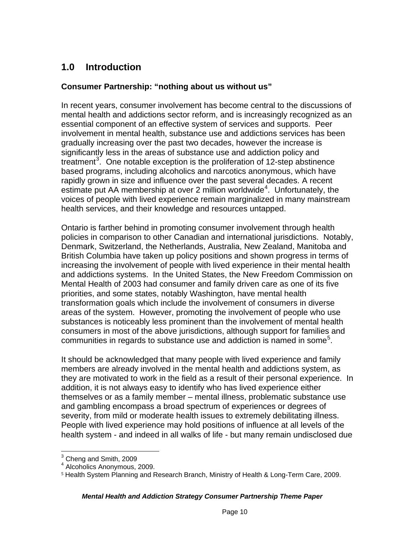# **1.0 Introduction**

### **Consumer Partnership: "nothing about us without us"**

In recent years, consumer involvement has become central to the discussions of mental health and addictions sector reform, and is increasingly recognized as an essential component of an effective system of services and supports. Peer involvement in mental health, substance use and addictions services has been gradually increasing over the past two decades, however the increase is significantly less in the areas of substance use and addiction policy and treatment<sup>[3](#page-9-0)</sup>. One notable exception is the proliferation of 12-step abstinence based programs, including alcoholics and narcotics anonymous, which have rapidly grown in size and influence over the past several decades. A recent estimate put AA membership at over 2 million worldwide<sup>[4](#page-9-1)</sup>. Unfortunately, the voices of people with lived experience remain marginalized in many mainstream health services, and their knowledge and resources untapped.

Ontario is farther behind in promoting consumer involvement through health policies in comparison to other Canadian and international jurisdictions. Notably, Denmark, Switzerland, the Netherlands, Australia, New Zealand, Manitoba and British Columbia have taken up policy positions and shown progress in terms of increasing the involvement of people with lived experience in their mental health and addictions systems. In the United States, the New Freedom Commission on Mental Health of 2003 had consumer and family driven care as one of its five priorities, and some states, notably Washington, have mental health transformation goals which include the involvement of consumers in diverse areas of the system. However, promoting the involvement of people who use substances is noticeably less prominent than the involvement of mental health consumers in most of the above jurisdictions, although support for families and communities in regards to substance use and addiction is named in some<sup>[5](#page-9-2)</sup>.

It should be acknowledged that many people with lived experience and family members are already involved in the mental health and addictions system, as they are motivated to work in the field as a result of their personal experience. In addition, it is not always easy to identify who has lived experience either themselves or as a family member – mental illness, problematic substance use and gambling encompass a broad spectrum of experiences or degrees of severity, from mild or moderate health issues to extremely debilitating illness. People with lived experience may hold positions of influence at all levels of the health system - and indeed in all walks of life - but many remain undisclosed due

 3 Cheng and Smith, 2009

<span id="page-9-1"></span><span id="page-9-0"></span><sup>4</sup> Alcoholics Anonymous, 2009.

<span id="page-9-2"></span><sup>5</sup> Health System Planning and Research Branch, Ministry of Health & Long-Term Care, 2009.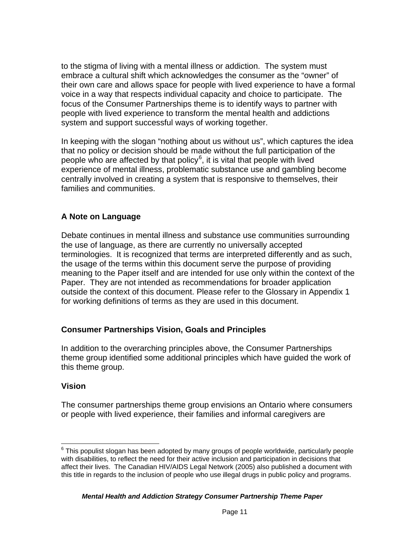to the stigma of living with a mental illness or addiction. The system must embrace a cultural shift which acknowledges the consumer as the "owner" of their own care and allows space for people with lived experience to have a formal voice in a way that respects individual capacity and choice to participate. The focus of the Consumer Partnerships theme is to identify ways to partner with people with lived experience to transform the mental health and addictions system and support successful ways of working together.

In keeping with the slogan "nothing about us without us", which captures the idea that no policy or decision should be made without the full participation of the people who are affected by that policy<sup>[6](#page-10-0)</sup>, it is vital that people with lived experience of mental illness, problematic substance use and gambling become centrally involved in creating a system that is responsive to themselves, their families and communities.

## **A Note on Language**

Debate continues in mental illness and substance use communities surrounding the use of language, as there are currently no universally accepted terminologies. It is recognized that terms are interpreted differently and as such, the usage of the terms within this document serve the purpose of providing meaning to the Paper itself and are intended for use only within the context of the Paper. They are not intended as recommendations for broader application outside the context of this document. Please refer to the Glossary in Appendix 1 for working definitions of terms as they are used in this document.

### **Consumer Partnerships Vision, Goals and Principles**

In addition to the overarching principles above, the Consumer Partnerships theme group identified some additional principles which have guided the work of this theme group.

### **Vision**

The consumer partnerships theme group envisions an Ontario where consumers or people with lived experience, their families and informal caregivers are

<span id="page-10-0"></span> 6 This populist slogan has been adopted by many groups of people worldwide, particularly people with disabilities, to reflect the need for their active inclusion and participation in decisions that affect their lives. The Canadian HIV/AIDS Legal Network (2005) also published a document with this title in regards to the inclusion of people who use illegal drugs in public policy and programs.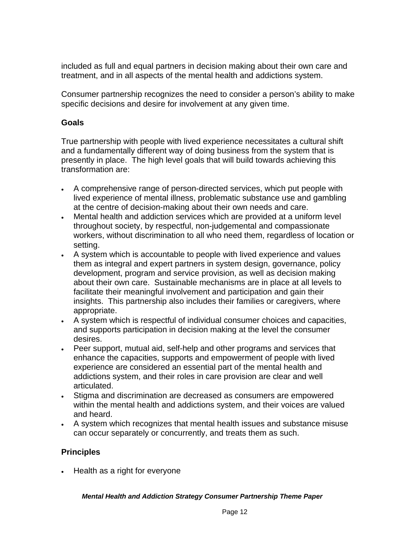included as full and equal partners in decision making about their own care and treatment, and in all aspects of the mental health and addictions system.

Consumer partnership recognizes the need to consider a person's ability to make specific decisions and desire for involvement at any given time.

### **Goals**

True partnership with people with lived experience necessitates a cultural shift and a fundamentally different way of doing business from the system that is presently in place. The high level goals that will build towards achieving this transformation are:

- A comprehensive range of person-directed services, which put people with lived experience of mental illness, problematic substance use and gambling at the centre of decision-making about their own needs and care.
- Mental health and addiction services which are provided at a uniform level throughout society, by respectful, non-judgemental and compassionate workers, without discrimination to all who need them, regardless of location or setting.
- A system which is accountable to people with lived experience and values them as integral and expert partners in system design, governance, policy development, program and service provision, as well as decision making about their own care. Sustainable mechanisms are in place at all levels to facilitate their meaningful involvement and participation and gain their insights. This partnership also includes their families or caregivers, where appropriate.
- A system which is respectful of individual consumer choices and capacities, and supports participation in decision making at the level the consumer desires.
- Peer support, mutual aid, self-help and other programs and services that enhance the capacities, supports and empowerment of people with lived experience are considered an essential part of the mental health and addictions system, and their roles in care provision are clear and well articulated.
- Stigma and discrimination are decreased as consumers are empowered within the mental health and addictions system, and their voices are valued and heard.
- A system which recognizes that mental health issues and substance misuse can occur separately or concurrently, and treats them as such.

## **Principles**

• Health as a right for everyone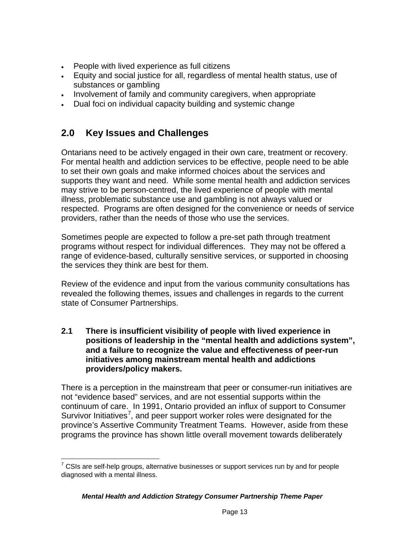- People with lived experience as full citizens
- Equity and social justice for all, regardless of mental health status, use of substances or gambling
- . Involvement of family and community caregivers, when appropriate
- Dual foci on individual capacity building and systemic change

# **2.0 Key Issues and Challenges**

Ontarians need to be actively engaged in their own care, treatment or recovery. For mental health and addiction services to be effective, people need to be able to set their own goals and make informed choices about the services and supports they want and need. While some mental health and addiction services may strive to be person-centred, the lived experience of people with mental illness, problematic substance use and gambling is not always valued or respected. Programs are often designed for the convenience or needs of service providers, rather than the needs of those who use the services.

Sometimes people are expected to follow a pre-set path through treatment programs without respect for individual differences. They may not be offered a range of evidence-based, culturally sensitive services, or supported in choosing the services they think are best for them.

Review of the evidence and input from the various community consultations has revealed the following themes, issues and challenges in regards to the current state of Consumer Partnerships.

**2.1 There is insufficient visibility of people with lived experience in positions of leadership in the "mental health and addictions system", and a failure to recognize the value and effectiveness of peer-run initiatives among mainstream mental health and addictions providers/policy makers.** 

There is a perception in the mainstream that peer or consumer-run initiatives are not "evidence based" services, and are not essential supports within the continuum of care. In 1991, Ontario provided an influx of support to Consumer Survivor Initiatives<sup>[7](#page-12-0)</sup>, and peer support worker roles were designated for the province's Assertive Community Treatment Teams. However, aside from these programs the province has shown little overall movement towards deliberately

<span id="page-12-0"></span>  $7$  CSIs are self-help groups, alternative businesses or support services run by and for people diagnosed with a mental illness.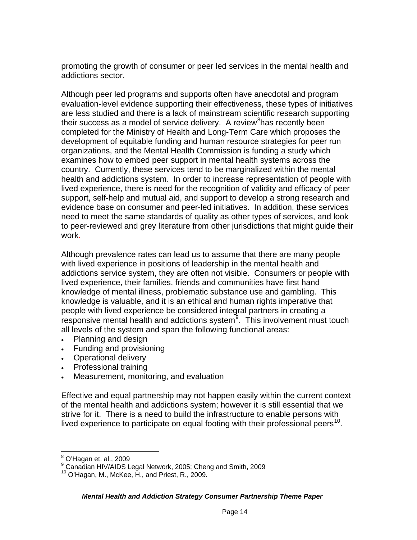promoting the growth of consumer or peer led services in the mental health and addictions sector.

Although peer led programs and supports often have anecdotal and program evaluation-level evidence supporting their effectiveness, these types of initiatives are less studied and there is a lack of mainstream scientific research supporting their success as a model of service delivery. A review<sup>[8](#page-13-0)</sup>has recently been completed for the Ministry of Health and Long-Term Care which proposes the development of equitable funding and human resource strategies for peer run organizations, and the Mental Health Commission is funding a study which examines how to embed peer support in mental health systems across the country. Currently, these services tend to be marginalized within the mental health and addictions system. In order to increase representation of people with lived experience, there is need for the recognition of validity and efficacy of peer support, self-help and mutual aid, and support to develop a strong research and evidence base on consumer and peer-led initiatives. In addition, these services need to meet the same standards of quality as other types of services, and look to peer-reviewed and grey literature from other jurisdictions that might guide their work.

Although prevalence rates can lead us to assume that there are many people with lived experience in positions of leadership in the mental health and addictions service system, they are often not visible. Consumers or people with lived experience, their families, friends and communities have first hand knowledge of mental illness, problematic substance use and gambling. This knowledge is valuable, and it is an ethical and human rights imperative that people with lived experience be considered integral partners in creating a responsive mental health and addictions system $9$ . This involvement must touch all levels of the system and span the following functional areas:

- Planning and design
- Funding and provisioning
- Operational delivery
- Professional training
- Measurement, monitoring, and evaluation

Effective and equal partnership may not happen easily within the current context of the mental health and addictions system; however it is still essential that we strive for it. There is a need to build the infrastructure to enable persons with lived experience to participate on equal footing with their professional peers $^{10}$ .

<span id="page-13-0"></span>  $^8$  O'Hagan et. al., 2009

<sup>9</sup> Canadian HIV/AIDS Legal Network, 2005; Cheng and Smith, 2009

<span id="page-13-2"></span><span id="page-13-1"></span><sup>10</sup> O'Hagan, M., McKee, H., and Priest, R., 2009.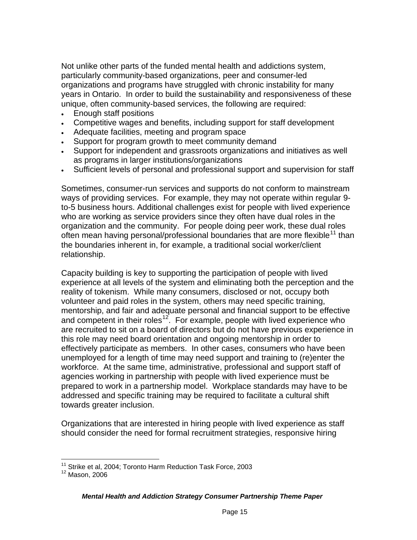Not unlike other parts of the funded mental health and addictions system, particularly community-based organizations, peer and consumer-led organizations and programs have struggled with chronic instability for many years in Ontario. In order to build the sustainability and responsiveness of these unique, often community-based services, the following are required:

- Enough staff positions
- Competitive wages and benefits, including support for staff development
- Adequate facilities, meeting and program space
- Support for program growth to meet community demand
- Support for independent and grassroots organizations and initiatives as well as programs in larger institutions/organizations
- Sufficient levels of personal and professional support and supervision for staff

Sometimes, consumer-run services and supports do not conform to mainstream ways of providing services. For example, they may not operate within regular 9 to-5 business hours. Additional challenges exist for people with lived experience who are working as service providers since they often have dual roles in the organization and the community. For people doing peer work, these dual roles often mean having personal/professional boundaries that are more flexible<sup>11</sup> than the boundaries inherent in, for example, a traditional social worker/client relationship.

Capacity building is key to supporting the participation of people with lived experience at all levels of the system and eliminating both the perception and the reality of tokenism. While many consumers, disclosed or not, occupy both volunteer and paid roles in the system, others may need specific training, mentorship, and fair and adequate personal and financial support to be effective and competent in their roles<sup>[12](#page-14-1)</sup>. For example, people with lived experience who are recruited to sit on a board of directors but do not have previous experience in this role may need board orientation and ongoing mentorship in order to effectively participate as members. In other cases, consumers who have been unemployed for a length of time may need support and training to (re)enter the workforce. At the same time, administrative, professional and support staff of agencies working in partnership with people with lived experience must be prepared to work in a partnership model. Workplace standards may have to be addressed and specific training may be required to facilitate a cultural shift towards greater inclusion.

Organizations that are interested in hiring people with lived experience as staff should consider the need for formal recruitment strategies, responsive hiring

<sup>&</sup>lt;sup>11</sup> Strike et al, 2004; Toronto Harm Reduction Task Force, 2003

<span id="page-14-1"></span><span id="page-14-0"></span><sup>12</sup> Mason, 2006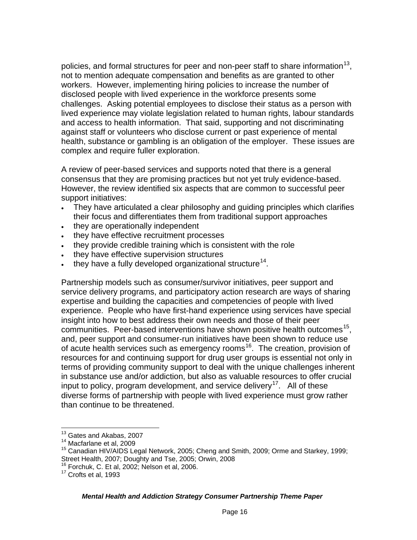policies, and formal structures for peer and non-peer staff to share information<sup>13</sup>. not to mention adequate compensation and benefits as are granted to other workers. However, implementing hiring policies to increase the number of disclosed people with lived experience in the workforce presents some challenges. Asking potential employees to disclose their status as a person with lived experience may violate legislation related to human rights, labour standards and access to health information. That said, supporting and not discriminating against staff or volunteers who disclose current or past experience of mental health, substance or gambling is an obligation of the employer. These issues are complex and require fuller exploration.

A review of peer-based services and supports noted that there is a general consensus that they are promising practices but not yet truly evidence-based. However, the review identified six aspects that are common to successful peer support initiatives:

- They have articulated a clear philosophy and guiding principles which clarifies their focus and differentiates them from traditional support approaches
- they are operationally independent
- . they have effective recruitment processes
- they provide credible training which is consistent with the role
- . they have effective supervision structures
- they have a fully developed organizational structure<sup>14</sup>.

Partnership models such as consumer/survivor initiatives, peer support and service delivery programs, and participatory action research are ways of sharing expertise and building the capacities and competencies of people with lived experience. People who have first-hand experience using services have special insight into how to best address their own needs and those of their peer communities. Peer-based interventions have shown positive health outcomes<sup>15</sup>, and, peer support and consumer-run initiatives have been shown to reduce use of acute health services such as emergency rooms<sup>16</sup>. The creation, provision of resources for and continuing support for drug user groups is essential not only in terms of providing community support to deal with the unique challenges inherent in substance use and/or addiction, but also as valuable resources to offer crucial input to policy, program development, and service delivery<sup>17</sup>. All of these diverse forms of partnership with people with lived experience must grow rather than continue to be threatened.

<u> 1980 - Andrea Andrew Maria (h. 1980).</u><br>1901 - Andrew Maria (h. 1902).

<sup>&</sup>lt;sup>13</sup> Gates and Akabas, 2007

<span id="page-15-1"></span><span id="page-15-0"></span><sup>&</sup>lt;sup>14</sup> Macfarlane et al, 2009

<span id="page-15-2"></span><sup>&</sup>lt;sup>15</sup> Canadian HIV/AIDS Legal Network, 2005; Cheng and Smith, 2009; Orme and Starkey, 1999; Street Health, 2007; Doughty and Tse, 2005; Orwin, 2008

 $16$  Forchuk, C. Et al, 2002; Nelson et al, 2006.

<span id="page-15-4"></span><span id="page-15-3"></span><sup>&</sup>lt;sup>17</sup> Crofts et al, 1993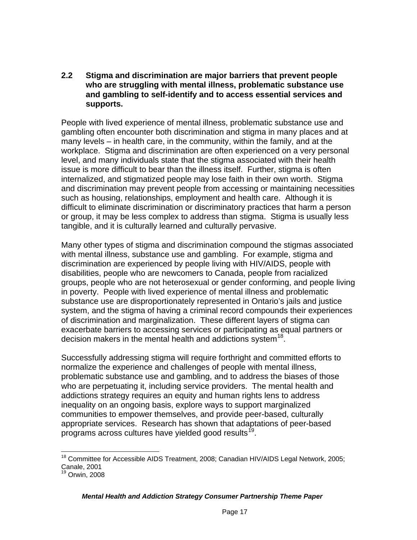### **2.2 Stigma and discrimination are major barriers that prevent people who are struggling with mental illness, problematic substance use and gambling to self-identify and to access essential services and supports.**

People with lived experience of mental illness, problematic substance use and gambling often encounter both discrimination and stigma in many places and at many levels – in health care, in the community, within the family, and at the workplace. Stigma and discrimination are often experienced on a very personal level, and many individuals state that the stigma associated with their health issue is more difficult to bear than the illness itself. Further, stigma is often internalized, and stigmatized people may lose faith in their own worth. Stigma and discrimination may prevent people from accessing or maintaining necessities such as housing, relationships, employment and health care. Although it is difficult to eliminate discrimination or discriminatory practices that harm a person or group, it may be less complex to address than stigma. Stigma is usually less tangible, and it is culturally learned and culturally pervasive.

Many other types of stigma and discrimination compound the stigmas associated with mental illness, substance use and gambling. For example, stigma and discrimination are experienced by people living with HIV/AIDS, people with disabilities, people who are newcomers to Canada, people from racialized groups, people who are not heterosexual or gender conforming, and people living in poverty. People with lived experience of mental illness and problematic substance use are disproportionately represented in Ontario's jails and justice system, and the stigma of having a criminal record compounds their experiences of discrimination and marginalization. These different layers of stigma can exacerbate barriers to accessing services or participating as equal partners or decision makers in the mental health and addictions system<sup>[18](#page-16-0)</sup>.

Successfully addressing stigma will require forthright and committed efforts to normalize the experience and challenges of people with mental illness, problematic substance use and gambling, and to address the biases of those who are perpetuating it, including service providers. The mental health and addictions strategy requires an equity and human rights lens to address inequality on an ongoing basis, explore ways to support marginalized communities to empower themselves, and provide peer-based, culturally appropriate services. Research has shown that adaptations of peer-based programs across cultures have yielded good results<sup>[19](#page-16-1)</sup>.

<span id="page-16-0"></span><sup>&</sup>lt;u> 1980 - Andrea Albert III, am bhliain 1980.</u><br>D'ann an Dùbhlachd ann an Dùbhlachd ann an Dùbhlachd ann an Dùbhlachd ann an Dùbhlachd ann an Dùbhlachd ann an <sup>18</sup> Committee for Accessible AIDS Treatment, 2008; Canadian HIV/AIDS Legal Network, 2005; Canale, 2001

<span id="page-16-1"></span> $<sup>9</sup>$  Orwin, 2008</sup>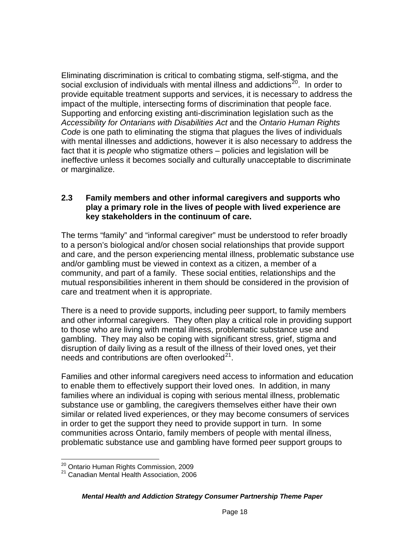Eliminating discrimination is critical to combating stigma, self-stigma, and the social exclusion of individuals with mental illness and addictions $^{20}$ . In order to provide equitable treatment supports and services, it is necessary to address the impact of the multiple, intersecting forms of discrimination that people face. Supporting and enforcing existing anti-discrimination legislation such as the *Accessibility for Ontarians with Disabilities Act* and the *Ontario Human Rights Code* is one path to eliminating the stigma that plagues the lives of individuals with mental illnesses and addictions, however it is also necessary to address the fact that it is *people* who stigmatize others – policies and legislation will be ineffective unless it becomes socially and culturally unacceptable to discriminate or marginalize.

### **2.3 Family members and other informal caregivers and supports who play a primary role in the lives of people with lived experience are key stakeholders in the continuum of care.**

The terms "family" and "informal caregiver" must be understood to refer broadly to a person's biological and/or chosen social relationships that provide support and care, and the person experiencing mental illness, problematic substance use and/or gambling must be viewed in context as a citizen, a member of a community, and part of a family. These social entities, relationships and the mutual responsibilities inherent in them should be considered in the provision of care and treatment when it is appropriate.

There is a need to provide supports, including peer support, to family members and other informal caregivers. They often play a critical role in providing support to those who are living with mental illness, problematic substance use and gambling. They may also be coping with significant stress, grief, stigma and disruption of daily living as a result of the illness of their loved ones, yet their needs and contributions are often overlooked $^{21}$ .

Families and other informal caregivers need access to information and education to enable them to effectively support their loved ones. In addition, in many families where an individual is coping with serious mental illness, problematic substance use or gambling, the caregivers themselves either have their own similar or related lived experiences, or they may become consumers of services in order to get the support they need to provide support in turn. In some communities across Ontario, family members of people with mental illness, problematic substance use and gambling have formed peer support groups to

<span id="page-17-0"></span><sup>&</sup>lt;sup>20</sup> Ontario Human Rights Commission, 2009

<span id="page-17-1"></span><sup>&</sup>lt;sup>21</sup> Canadian Mental Health Association, 2006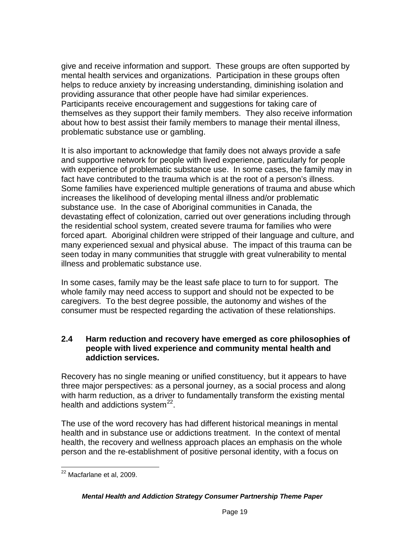give and receive information and support. These groups are often supported by mental health services and organizations. Participation in these groups often helps to reduce anxiety by increasing understanding, diminishing isolation and providing assurance that other people have had similar experiences. Participants receive encouragement and suggestions for taking care of themselves as they support their family members. They also receive information about how to best assist their family members to manage their mental illness, problematic substance use or gambling.

It is also important to acknowledge that family does not always provide a safe and supportive network for people with lived experience, particularly for people with experience of problematic substance use. In some cases, the family may in fact have contributed to the trauma which is at the root of a person's illness. Some families have experienced multiple generations of trauma and abuse which increases the likelihood of developing mental illness and/or problematic substance use. In the case of Aboriginal communities in Canada, the devastating effect of colonization, carried out over generations including through the residential school system, created severe trauma for families who were forced apart. Aboriginal children were stripped of their language and culture, and many experienced sexual and physical abuse. The impact of this trauma can be seen today in many communities that struggle with great vulnerability to mental illness and problematic substance use.

In some cases, family may be the least safe place to turn to for support. The whole family may need access to support and should not be expected to be caregivers. To the best degree possible, the autonomy and wishes of the consumer must be respected regarding the activation of these relationships.

### **2.4 Harm reduction and recovery have emerged as core philosophies of people with lived experience and community mental health and addiction services.**

Recovery has no single meaning or unified constituency, but it appears to have three major perspectives: as a personal journey, as a social process and along with harm reduction, as a driver to fundamentally transform the existing mental health and addictions system $^{22}$  $^{22}$  $^{22}$ .

The use of the word recovery has had different historical meanings in mental health and in substance use or addictions treatment. In the context of mental health, the recovery and wellness approach places an emphasis on the whole person and the re-establishment of positive personal identity, with a focus on

<span id="page-18-0"></span>  $^{22}$  Macfarlane et al, 2009.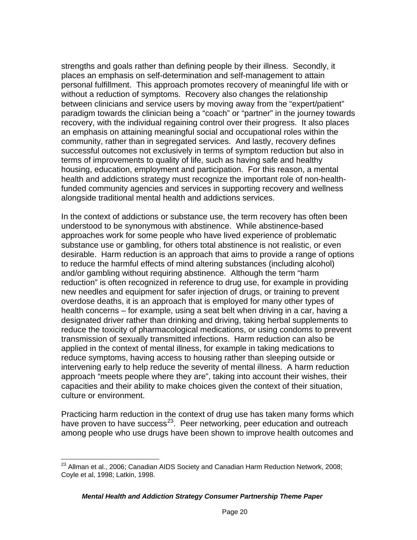strengths and goals rather than defining people by their illness. Secondly, it places an emphasis on self-determination and self-management to attain personal fulfillment. This approach promotes recovery of meaningful life with or without a reduction of symptoms. Recovery also changes the relationship between clinicians and service users by moving away from the "expert/patient" paradigm towards the clinician being a "coach" or "partner" in the journey towards recovery, with the individual regaining control over their progress. It also places an emphasis on attaining meaningful social and occupational roles within the community, rather than in segregated services. And lastly, recovery defines successful outcomes not exclusively in terms of symptom reduction but also in terms of improvements to quality of life, such as having safe and healthy housing, education, employment and participation. For this reason, a mental health and addictions strategy must recognize the important role of non-healthfunded community agencies and services in supporting recovery and wellness alongside traditional mental health and addictions services.

In the context of addictions or substance use, the term recovery has often been understood to be synonymous with abstinence. While abstinence-based approaches work for some people who have lived experience of problematic substance use or gambling, for others total abstinence is not realistic, or even desirable. Harm reduction is an approach that aims to provide a range of options to reduce the harmful effects of mind altering substances (including alcohol) and/or gambling without requiring abstinence. Although the term "harm reduction" is often recognized in reference to drug use, for example in providing new needles and equipment for safer injection of drugs, or training to prevent overdose deaths, it is an approach that is employed for many other types of health concerns – for example, using a seat belt when driving in a car, having a designated driver rather than drinking and driving, taking herbal supplements to reduce the toxicity of pharmacological medications, or using condoms to prevent transmission of sexually transmitted infections. Harm reduction can also be applied in the context of mental illness, for example in taking medications to reduce symptoms, having access to housing rather than sleeping outside or intervening early to help reduce the severity of mental illness. A harm reduction approach "meets people where they are", taking into account their wishes, their capacities and their ability to make choices given the context of their situation, culture or environment.

Practicing harm reduction in the context of drug use has taken many forms which have proven to have success<sup>23</sup>. Peer networking, peer education and outreach among people who use drugs have been shown to improve health outcomes and

<span id="page-19-0"></span> $^{23}$  Allman et al., 2006; Canadian AIDS Society and Canadian Harm Reduction Network, 2008; Coyle et al, 1998; Latkin, 1998.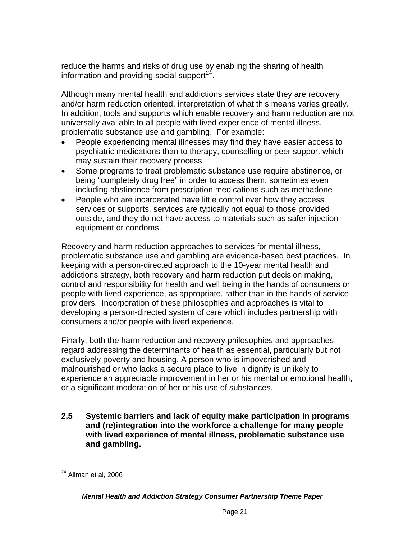reduce the harms and risks of drug use by enabling the sharing of health information and providing social support<sup>24</sup>.

Although many mental health and addictions services state they are recovery and/or harm reduction oriented, interpretation of what this means varies greatly. In addition, tools and supports which enable recovery and harm reduction are not universally available to all people with lived experience of mental illness, problematic substance use and gambling. For example:

- People experiencing mental illnesses may find they have easier access to psychiatric medications than to therapy, counselling or peer support which may sustain their recovery process.
- Some programs to treat problematic substance use require abstinence, or being "completely drug free" in order to access them, sometimes even including abstinence from prescription medications such as methadone
- People who are incarcerated have little control over how they access services or supports, services are typically not equal to those provided outside, and they do not have access to materials such as safer injection equipment or condoms.

Recovery and harm reduction approaches to services for mental illness, problematic substance use and gambling are evidence-based best practices. In keeping with a person-directed approach to the 10-year mental health and addictions strategy, both recovery and harm reduction put decision making, control and responsibility for health and well being in the hands of consumers or people with lived experience, as appropriate, rather than in the hands of service providers. Incorporation of these philosophies and approaches is vital to developing a person-directed system of care which includes partnership with consumers and/or people with lived experience.

Finally, both the harm reduction and recovery philosophies and approaches regard addressing the determinants of health as essential, particularly but not exclusively poverty and housing. A person who is impoverished and malnourished or who lacks a secure place to live in dignity is unlikely to experience an appreciable improvement in her or his mental or emotional health, or a significant moderation of her or his use of substances.

**2.5 Systemic barriers and lack of equity make participation in programs and (re)integration into the workforce a challenge for many people with lived experience of mental illness, problematic substance use and gambling.** 

<span id="page-20-0"></span> <sup>24</sup> Allman et al, 2006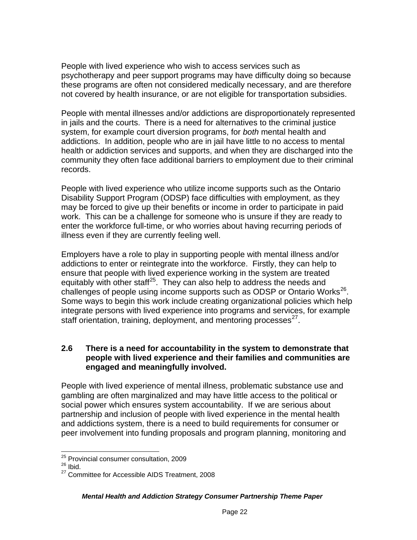People with lived experience who wish to access services such as psychotherapy and peer support programs may have difficulty doing so because these programs are often not considered medically necessary, and are therefore not covered by health insurance, or are not eligible for transportation subsidies.

People with mental illnesses and/or addictions are disproportionately represented in jails and the courts. There is a need for alternatives to the criminal justice system, for example court diversion programs, for *both* mental health and addictions. In addition, people who are in jail have little to no access to mental health or addiction services and supports, and when they are discharged into the community they often face additional barriers to employment due to their criminal records.

People with lived experience who utilize income supports such as the Ontario Disability Support Program (ODSP) face difficulties with employment, as they may be forced to give up their benefits or income in order to participate in paid work. This can be a challenge for someone who is unsure if they are ready to enter the workforce full-time, or who worries about having recurring periods of illness even if they are currently feeling well.

Employers have a role to play in supporting people with mental illness and/or addictions to enter or reintegrate into the workforce. Firstly, they can help to ensure that people with lived experience working in the system are treated equitably with other staff<sup>25</sup>. They can also help to address the needs and challenges of people using income supports such as ODSP or Ontario Works<sup>26</sup>. Some ways to begin this work include creating organizational policies which help integrate persons with lived experience into programs and services, for example staff orientation, training, deployment, and mentoring processes $^{27}$ .

### **2.6 There is a need for accountability in the system to demonstrate that people with lived experience and their families and communities are engaged and meaningfully involved.**

People with lived experience of mental illness, problematic substance use and gambling are often marginalized and may have little access to the political or social power which ensures system accountability.If we are serious about partnership and inclusion of people with lived experience in the mental health and addictions system, there is a need to build requirements for consumer or peer involvement into funding proposals and program planning, monitoring and

<sup>&</sup>lt;u> 1980 - Andrea Andrew Maria (h. 1980).</u><br>1980 - Andrew Maria (h. 1980). <sup>25</sup> Provincial consumer consultation, 2009

<span id="page-21-1"></span><span id="page-21-0"></span> $26$  Ibid.

<span id="page-21-2"></span><sup>&</sup>lt;sup>27</sup> Committee for Accessible AIDS Treatment, 2008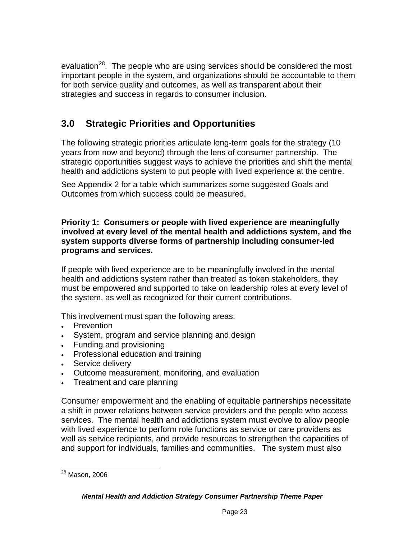evaluation<sup>[28](#page-22-0)</sup>. The people who are using services should be considered the most important people in the system, and organizations should be accountable to them for both service quality and outcomes, as well as transparent about their strategies and success in regards to consumer inclusion.

# **3.0 Strategic Priorities and Opportunities**

The following strategic priorities articulate long-term goals for the strategy (10 years from now and beyond) through the lens of consumer partnership. The strategic opportunities suggest ways to achieve the priorities and shift the mental health and addictions system to put people with lived experience at the centre.

See Appendix 2 for a table which summarizes some suggested Goals and Outcomes from which success could be measured.

### **Priority 1: Consumers or people with lived experience are meaningfully involved at every level of the mental health and addictions system, and the system supports diverse forms of partnership including consumer-led programs and services.**

If people with lived experience are to be meaningfully involved in the mental health and addictions system rather than treated as token stakeholders, they must be empowered and supported to take on leadership roles at every level of the system, as well as recognized for their current contributions.

This involvement must span the following areas:

- **Prevention**
- System, program and service planning and design
- Funding and provisioning
- Professional education and training
- Service delivery
- Outcome measurement, monitoring, and evaluation
- Treatment and care planning

Consumer empowerment and the enabling of equitable partnerships necessitate a shift in power relations between service providers and the people who access services. The mental health and addictions system must evolve to allow people with lived experience to perform role functions as service or care providers as well as service recipients, and provide resources to strengthen the capacities of and support for individuals, families and communities. The system must also

<span id="page-22-0"></span> 28 Mason, 2006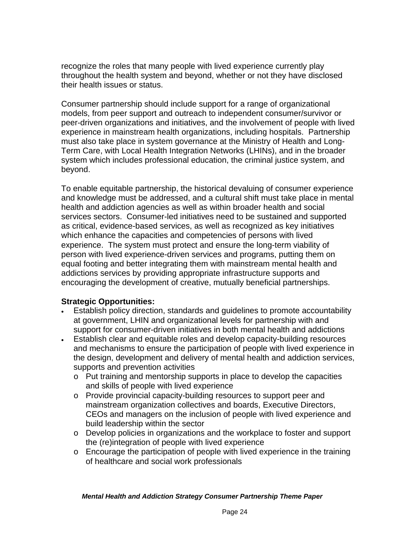recognize the roles that many people with lived experience currently play throughout the health system and beyond, whether or not they have disclosed their health issues or status.

Consumer partnership should include support for a range of organizational models, from peer support and outreach to independent consumer/survivor or peer-driven organizations and initiatives, and the involvement of people with lived experience in mainstream health organizations, including hospitals. Partnership must also take place in system governance at the Ministry of Health and Long-Term Care, with Local Health Integration Networks (LHINs), and in the broader system which includes professional education, the criminal justice system, and beyond.

To enable equitable partnership, the historical devaluing of consumer experience and knowledge must be addressed, and a cultural shift must take place in mental health and addiction agencies as well as within broader health and social services sectors. Consumer-led initiatives need to be sustained and supported as critical, evidence-based services, as well as recognized as key initiatives which enhance the capacities and competencies of persons with lived experience. The system must protect and ensure the long-term viability of person with lived experience-driven services and programs, putting them on equal footing and better integrating them with mainstream mental health and addictions services by providing appropriate infrastructure supports and encouraging the development of creative, mutually beneficial partnerships.

### **Strategic Opportunities:**

- Establish policy direction, standards and guidelines to promote accountability at government, LHIN and organizational levels for partnership with and support for consumer-driven initiatives in both mental health and addictions
- Establish clear and equitable roles and develop capacity-building resources and mechanisms to ensure the participation of people with lived experience in the design, development and delivery of mental health and addiction services, supports and prevention activities
	- o Put training and mentorship supports in place to develop the capacities and skills of people with lived experience
	- o Provide provincial capacity-building resources to support peer and mainstream organization collectives and boards, Executive Directors, CEOs and managers on the inclusion of people with lived experience and build leadership within the sector
	- o Develop policies in organizations and the workplace to foster and support the (re)integration of people with lived experience
	- o Encourage the participation of people with lived experience in the training of healthcare and social work professionals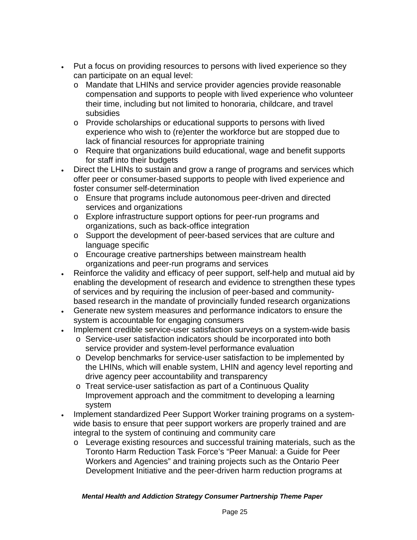- Put a focus on providing resources to persons with lived experience so they can participate on an equal level:
	- o Mandate that LHINs and service provider agencies provide reasonable compensation and supports to people with lived experience who volunteer their time, including but not limited to honoraria, childcare, and travel subsidies
	- o Provide scholarships or educational supports to persons with lived experience who wish to (re)enter the workforce but are stopped due to lack of financial resources for appropriate training
	- o Require that organizations build educational, wage and benefit supports for staff into their budgets
- Direct the LHINs to sustain and grow a range of programs and services which offer peer or consumer-based supports to people with lived experience and foster consumer self-determination
	- o Ensure that programs include autonomous peer-driven and directed services and organizations
	- o Explore infrastructure support options for peer-run programs and organizations, such as back-office integration
	- o Support the development of peer-based services that are culture and language specific
	- o Encourage creative partnerships between mainstream health organizations and peer-run programs and services
- Reinforce the validity and efficacy of peer support, self-help and mutual aid by enabling the development of research and evidence to strengthen these types of services and by requiring the inclusion of peer-based and communitybased research in the mandate of provincially funded research organizations
- Generate new system measures and performance indicators to ensure the system is accountable for engaging consumers
- Implement credible service-user satisfaction surveys on a system-wide basis
	- o Service-user satisfaction indicators should be incorporated into both service provider and system-level performance evaluation
	- o Develop benchmarks for service-user satisfaction to be implemented by the LHINs, which will enable system, LHIN and agency level reporting and drive agency peer accountability and transparency
	- o Treat service-user satisfaction as part of a Continuous Quality Improvement approach and the commitment to developing a learning system
- Implement standardized Peer Support Worker training programs on a systemwide basis to ensure that peer support workers are properly trained and are integral to the system of continuing and community care
	- o Leverage existing resources and successful training materials, such as the Toronto Harm Reduction Task Force's "Peer Manual: a Guide for Peer Workers and Agencies" and training projects such as the Ontario Peer Development Initiative and the peer-driven harm reduction programs at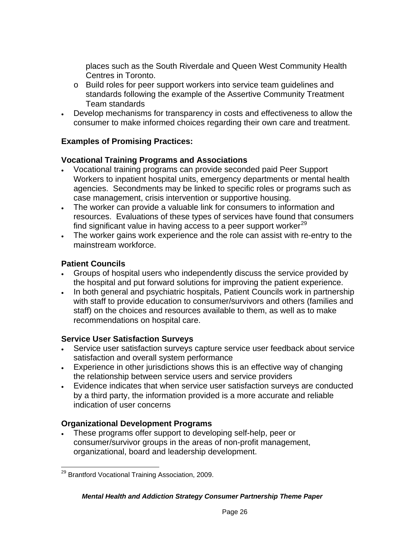places such as the South Riverdale and Queen West Community Health Centres in Toronto.

- o Build roles for peer support workers into service team guidelines and standards following the example of the Assertive Community Treatment Team standards
- Develop mechanisms for transparency in costs and effectiveness to allow the consumer to make informed choices regarding their own care and treatment.

## **Examples of Promising Practices:**

## **Vocational Training Programs and Associations**

- Vocational training programs can provide seconded paid Peer Support Workers to inpatient hospital units, emergency departments or mental health agencies. Secondments may be linked to specific roles or programs such as case management, crisis intervention or supportive housing.
- The worker can provide a valuable link for consumers to information and resources. Evaluations of these types of services have found that consumers find significant value in having access to a peer support worker $^{29}$
- The worker gains work experience and the role can assist with re-entry to the mainstream workforce.

## **Patient Councils**

- Groups of hospital users who independently discuss the service provided by the hospital and put forward solutions for improving the patient experience.
- In both general and psychiatric hospitals, Patient Councils work in partnership with staff to provide education to consumer/survivors and others (families and staff) on the choices and resources available to them, as well as to make recommendations on hospital care.

## **Service User Satisfaction Surveys**

- Service user satisfaction surveys capture service user feedback about service satisfaction and overall system performance
- Experience in other jurisdictions shows this is an effective way of changing the relationship between service users and service providers
- Evidence indicates that when service user satisfaction surveys are conducted by a third party, the information provided is a more accurate and reliable indication of user concerns

## **Organizational Development Programs**

 These programs offer support to developing self-help, peer or consumer/survivor groups in the areas of non-profit management, organizational, board and leadership development.

<span id="page-25-0"></span> <sup>29</sup> Brantford Vocational Training Association, 2009.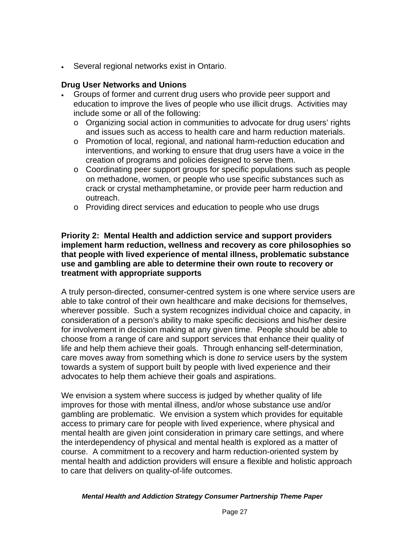Several regional networks exist in Ontario.

### **Drug User Networks and Unions**

- Groups of former and current drug users who provide peer support and education to improve the lives of people who use illicit drugs. Activities may include some or all of the following:
	- $\circ$  Organizing social action in communities to advocate for drug users' rights and issues such as access to health care and harm reduction materials.
	- o Promotion of local, regional, and national harm-reduction education and interventions, and working to ensure that drug users have a voice in the creation of programs and policies designed to serve them.
	- $\circ$  Coordinating peer support groups for specific populations such as people on methadone, women, or people who use specific substances such as crack or crystal methamphetamine, or provide peer harm reduction and outreach.
	- o Providing direct services and education to people who use drugs

### **Priority 2: Mental Health and addiction service and support providers implement harm reduction, wellness and recovery as core philosophies so that people with lived experience of mental illness, problematic substance use and gambling are able to determine their own route to recovery or treatment with appropriate supports**

A truly person-directed, consumer-centred system is one where service users are able to take control of their own healthcare and make decisions for themselves, wherever possible. Such a system recognizes individual choice and capacity, in consideration of a person's ability to make specific decisions and his/her desire for involvement in decision making at any given time. People should be able to choose from a range of care and support services that enhance their quality of life and help them achieve their goals. Through enhancing self-determination, care moves away from something which is done *to* service users by the system towards a system of support built by people with lived experience and their advocates to help them achieve their goals and aspirations.

We envision a system where success is judged by whether quality of life improves for those with mental illness, and/or whose substance use and/or gambling are problematic. We envision a system which provides for equitable access to primary care for people with lived experience, where physical and mental health are given joint consideration in primary care settings, and where the interdependency of physical and mental health is explored as a matter of course. A commitment to a recovery and harm reduction-oriented system by mental health and addiction providers will ensure a flexible and holistic approach to care that delivers on quality-of-life outcomes.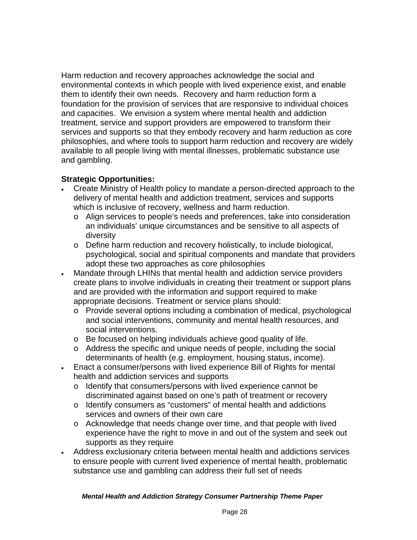Harm reduction and recovery approaches acknowledge the social and environmental contexts in which people with lived experience exist, and enable them to identify their own needs. Recovery and harm reduction form a foundation for the provision of services that are responsive to individual choices and capacities. We envision a system where mental health and addiction treatment, service and support providers are empowered to transform their services and supports so that they embody recovery and harm reduction as core philosophies, and where tools to support harm reduction and recovery are widely available to all people living with mental illnesses, problematic substance use and gambling.

## **Strategic Opportunities:**

- Create Ministry of Health policy to mandate a person-directed approach to the delivery of mental health and addiction treatment, services and supports which is inclusive of recovery, wellness and harm reduction.
	- o Align services to people's needs and preferences, take into consideration an individuals' unique circumstances and be sensitive to all aspects of diversity
	- o Define harm reduction and recovery holistically, to include biological, psychological, social and spiritual components and mandate that providers adopt these two approaches as core philosophies
- Mandate through LHINs that mental health and addiction service providers create plans to involve individuals in creating their treatment or support plans and are provided with the information and support required to make appropriate decisions. Treatment or service plans should:
	- o Provide several options including a combination of medical, psychological and social interventions, community and mental health resources, and social interventions.
	- o Be focused on helping individuals achieve good quality of life.
	- o Address the specific and unique needs of people, including the social determinants of health (e.g. employment, housing status, income).
- Enact a consumer/persons with lived experience Bill of Rights for mental health and addiction services and supports
	- o Identify that consumers/persons with lived experience cannot be discriminated against based on one's path of treatment or recovery
	- o Identify consumers as "customers" of mental health and addictions services and owners of their own care
	- o Acknowledge that needs change over time, and that people with lived experience have the right to move in and out of the system and seek out supports as they require
- Address exclusionary criteria between mental health and addictions services to ensure people with current lived experience of mental health, problematic substance use and gambling can address their full set of needs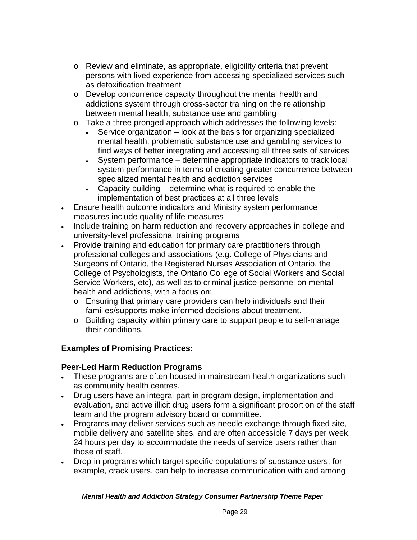- $\circ$  Review and eliminate, as appropriate, eligibility criteria that prevent persons with lived experience from accessing specialized services such as detoxification treatment
- o Develop concurrence capacity throughout the mental health and addictions system through cross-sector training on the relationship between mental health, substance use and gambling
- o Take a three pronged approach which addresses the following levels:
	- Service organization look at the basis for organizing specialized mental health, problematic substance use and gambling services to find ways of better integrating and accessing all three sets of services
	- System performance determine appropriate indicators to track local system performance in terms of creating greater concurrence between specialized mental health and addiction services
	- Capacity building determine what is required to enable the implementation of best practices at all three levels
- Ensure health outcome indicators and Ministry system performance measures include quality of life measures
- Include training on harm reduction and recovery approaches in college and university-level professional training programs
- Provide training and education for primary care practitioners through professional colleges and associations (e.g. College of Physicians and Surgeons of Ontario, the Registered Nurses Association of Ontario, the College of Psychologists, the Ontario College of Social Workers and Social Service Workers, etc), as well as to criminal justice personnel on mental health and addictions, with a focus on:
	- o Ensuring that primary care providers can help individuals and their families/supports make informed decisions about treatment.
	- o Building capacity within primary care to support people to self-manage their conditions.

## **Examples of Promising Practices:**

## **Peer-Led Harm Reduction Programs**

- These programs are often housed in mainstream health organizations such as community health centres.
- Drug users have an integral part in program design, implementation and evaluation, and active illicit drug users form a significant proportion of the staff team and the program advisory board or committee.
- Programs may deliver services such as needle exchange through fixed site, mobile delivery and satellite sites, and are often accessible 7 days per week, 24 hours per day to accommodate the needs of service users rather than those of staff.
- Drop-in programs which target specific populations of substance users, for example, crack users, can help to increase communication with and among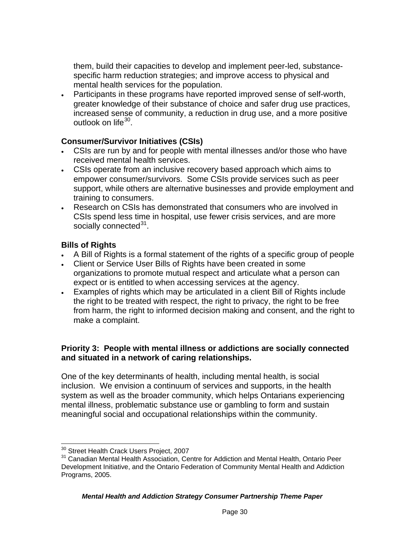them, build their capacities to develop and implement peer-led, substancespecific harm reduction strategies; and improve access to physical and mental health services for the population.

 Participants in these programs have reported improved sense of self-worth, greater knowledge of their substance of choice and safer drug use practices, increased sense of community, a reduction in drug use, and a more positive outlook on life<sup>[30](#page-29-0)</sup>.

### **Consumer/Survivor Initiatives (CSIs)**

- CSIs are run by and for people with mental illnesses and/or those who have received mental health services.
- CSIs operate from an inclusive recovery based approach which aims to empower consumer/survivors. Some CSIs provide services such as peer support, while others are alternative businesses and provide employment and training to consumers.
- Research on CSIs has demonstrated that consumers who are involved in CSIs spend less time in hospital, use fewer crisis services, and are more socially connected<sup>[31](#page-29-1)</sup>.

### **Bills of Rights**

- A Bill of Rights is a formal statement of the rights of a specific group of people
- Client or Service User Bills of Rights have been created in some organizations to promote mutual respect and articulate what a person can expect or is entitled to when accessing services at the agency.
- Examples of rights which may be articulated in a client Bill of Rights include the right to be treated with respect, the right to privacy, the right to be free from harm, the right to informed decision making and consent, and the right to make a complaint.

### **Priority 3: People with mental illness or addictions are socially connected and situated in a network of caring relationships.**

One of the key determinants of health, including mental health, is social inclusion. We envision a continuum of services and supports, in the health system as well as the broader community, which helps Ontarians experiencing mental illness, problematic substance use or gambling to form and sustain meaningful social and occupational relationships within the community.

<span id="page-29-0"></span><sup>&</sup>lt;sup>30</sup> Street Health Crack Users Project, 2007

<span id="page-29-1"></span><sup>&</sup>lt;sup>31</sup> Canadian Mental Health Association, Centre for Addiction and Mental Health, Ontario Peer Development Initiative, and the Ontario Federation of Community Mental Health and Addiction Programs, 2005.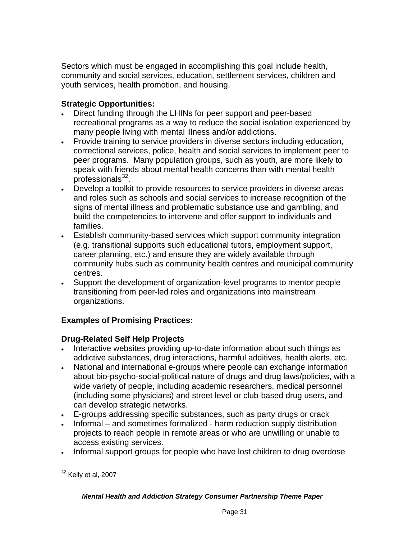Sectors which must be engaged in accomplishing this goal include health, community and social services, education, settlement services, children and youth services, health promotion, and housing.

## **Strategic Opportunities:**

- Direct funding through the LHINs for peer support and peer-based recreational programs as a way to reduce the social isolation experienced by many people living with mental illness and/or addictions.
- Provide training to service providers in diverse sectors including education, correctional services, police, health and social services to implement peer to peer programs. Many population groups, such as youth, are more likely to speak with friends about mental health concerns than with mental health professionals $32$ .
- Develop a toolkit to provide resources to service providers in diverse areas and roles such as schools and social services to increase recognition of the signs of mental illness and problematic substance use and gambling, and build the competencies to intervene and offer support to individuals and families.
- Establish community-based services which support community integration (e.g. transitional supports such educational tutors, employment support, career planning, etc.) and ensure they are widely available through community hubs such as community health centres and municipal community centres.
- Support the development of organization-level programs to mentor people transitioning from peer-led roles and organizations into mainstream organizations.

## **Examples of Promising Practices:**

## **Drug-Related Self Help Projects**

- Interactive websites providing up-to-date information about such things as addictive substances, drug interactions, harmful additives, health alerts, etc.
- National and international e-groups where people can exchange information about bio-psycho-social-political nature of drugs and drug laws/policies, with a wide variety of people, including academic researchers, medical personnel (including some physicians) and street level or club-based drug users, and can develop strategic networks.
- E-groups addressing specific substances, such as party drugs or crack
- Informal and sometimes formalized harm reduction supply distribution projects to reach people in remote areas or who are unwilling or unable to access existing services.
- Informal support groups for people who have lost children to drug overdose

<span id="page-30-0"></span>  $32$  Kelly et al, 2007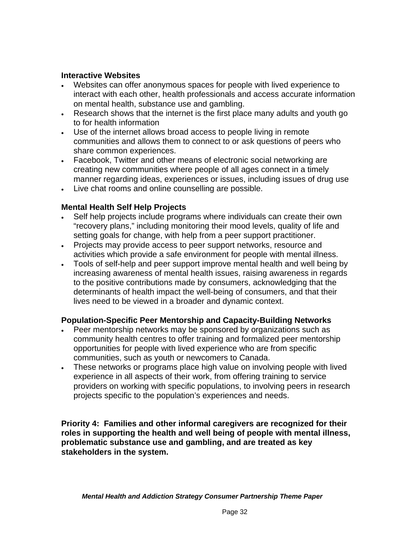### **Interactive Websites**

- Websites can offer anonymous spaces for people with lived experience to interact with each other, health professionals and access accurate information on mental health, substance use and gambling.
- Research shows that the internet is the first place many adults and youth go to for health information
- Use of the internet allows broad access to people living in remote communities and allows them to connect to or ask questions of peers who share common experiences.
- Facebook, Twitter and other means of electronic social networking are creating new communities where people of all ages connect in a timely manner regarding ideas, experiences or issues, including issues of drug use
- Live chat rooms and online counselling are possible.

### **Mental Health Self Help Projects**

- Self help projects include programs where individuals can create their own "recovery plans," including monitoring their mood levels, quality of life and setting goals for change, with help from a peer support practitioner.
- Projects may provide access to peer support networks, resource and activities which provide a safe environment for people with mental illness.
- Tools of self-help and peer support improve mental health and well being by increasing awareness of mental health issues, raising awareness in regards to the positive contributions made by consumers, acknowledging that the determinants of health impact the well-being of consumers, and that their lives need to be viewed in a broader and dynamic context.

### **Population-Specific Peer Mentorship and Capacity-Building Networks**

- Peer mentorship networks may be sponsored by organizations such as community health centres to offer training and formalized peer mentorship opportunities for people with lived experience who are from specific communities, such as youth or newcomers to Canada.
- These networks or programs place high value on involving people with lived experience in all aspects of their work, from offering training to service providers on working with specific populations, to involving peers in research projects specific to the population's experiences and needs.

**Priority 4: Families and other informal caregivers are recognized for their roles in supporting the health and well being of people with mental illness, problematic substance use and gambling, and are treated as key stakeholders in the system.**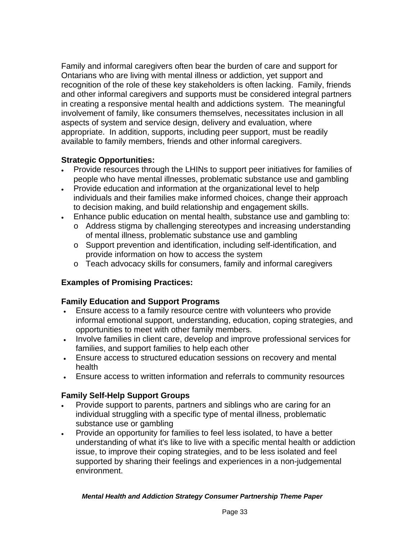Family and informal caregivers often bear the burden of care and support for Ontarians who are living with mental illness or addiction, yet support and recognition of the role of these key stakeholders is often lacking. Family, friends and other informal caregivers and supports must be considered integral partners in creating a responsive mental health and addictions system. The meaningful involvement of family, like consumers themselves, necessitates inclusion in all aspects of system and service design, delivery and evaluation, where appropriate. In addition, supports, including peer support, must be readily available to family members, friends and other informal caregivers.

## **Strategic Opportunities:**

- Provide resources through the LHINs to support peer initiatives for families of people who have mental illnesses, problematic substance use and gambling
- Provide education and information at the organizational level to help individuals and their families make informed choices, change their approach to decision making, and build relationship and engagement skills.
- Enhance public education on mental health, substance use and gambling to:
	- o Address stigma by challenging stereotypes and increasing understanding of mental illness, problematic substance use and gambling
	- o Support prevention and identification, including self-identification, and provide information on how to access the system
	- o Teach advocacy skills for consumers, family and informal caregivers

## **Examples of Promising Practices:**

## **Family Education and Support Programs**

- Ensure access to a family resource centre with volunteers who provide informal emotional support, understanding, education, coping strategies, and opportunities to meet with other family members.
- Involve families in client care, develop and improve professional services for families, and support families to help each other
- Ensure access to structured education sessions on recovery and mental health
- Ensure access to written information and referrals to community resources

## **Family Self-Help Support Groups**

- Provide support to parents, partners and siblings who are caring for an individual struggling with a specific type of mental illness, problematic substance use or gambling
- Provide an opportunity for families to feel less isolated, to have a better understanding of what it's like to live with a specific mental health or addiction issue, to improve their coping strategies, and to be less isolated and feel supported by sharing their feelings and experiences in a non-judgemental environment.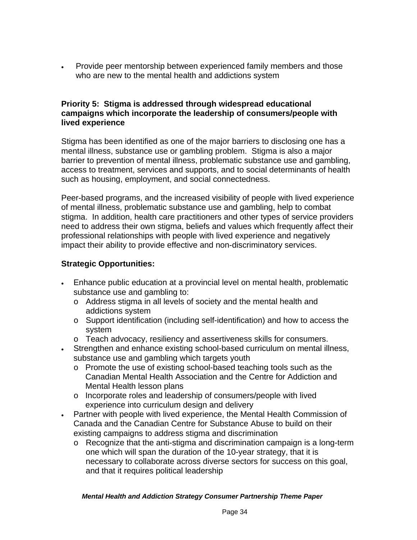Provide peer mentorship between experienced family members and those who are new to the mental health and addictions system

### **Priority 5: Stigma is addressed through widespread educational campaigns which incorporate the leadership of consumers/people with lived experience**

Stigma has been identified as one of the major barriers to disclosing one has a mental illness, substance use or gambling problem. Stigma is also a major barrier to prevention of mental illness, problematic substance use and gambling, access to treatment, services and supports, and to social determinants of health such as housing, employment, and social connectedness.

Peer-based programs, and the increased visibility of people with lived experience of mental illness, problematic substance use and gambling, help to combat stigma. In addition, health care practitioners and other types of service providers need to address their own stigma, beliefs and values which frequently affect their professional relationships with people with lived experience and negatively impact their ability to provide effective and non-discriminatory services.

## **Strategic Opportunities:**

- Enhance public education at a provincial level on mental health, problematic substance use and gambling to:
	- o Address stigma in all levels of society and the mental health and addictions system
	- o Support identification (including self-identification) and how to access the system
	- o Teach advocacy, resiliency and assertiveness skills for consumers.
- Strengthen and enhance existing school-based curriculum on mental illness, substance use and gambling which targets youth
	- o Promote the use of existing school-based teaching tools such as the Canadian Mental Health Association and the Centre for Addiction and Mental Health lesson plans
	- o Incorporate roles and leadership of consumers/people with lived experience into curriculum design and delivery
- Partner with people with lived experience, the Mental Health Commission of Canada and the Canadian Centre for Substance Abuse to build on their existing campaigns to address stigma and discrimination
	- o Recognize that the anti-stigma and discrimination campaign is a long-term one which will span the duration of the 10-year strategy, that it is necessary to collaborate across diverse sectors for success on this goal, and that it requires political leadership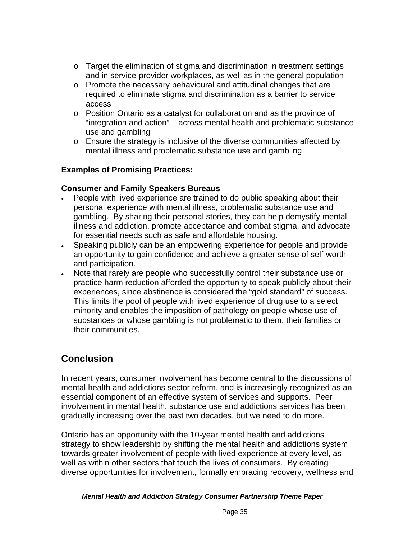- $\circ$  Target the elimination of stigma and discrimination in treatment settings and in service-provider workplaces, as well as in the general population
- $\circ$  Promote the necessary behavioural and attitudinal changes that are required to eliminate stigma and discrimination as a barrier to service access
- $\circ$  Position Ontario as a catalyst for collaboration and as the province of "integration and action" – across mental health and problematic substance use and gambling
- $\circ$  Ensure the strategy is inclusive of the diverse communities affected by mental illness and problematic substance use and gambling

## **Examples of Promising Practices:**

### **Consumer and Family Speakers Bureaus**

- People with lived experience are trained to do public speaking about their personal experience with mental illness, problematic substance use and gambling. By sharing their personal stories, they can help demystify mental illness and addiction, promote acceptance and combat stigma, and advocate for essential needs such as safe and affordable housing.
- Speaking publicly can be an empowering experience for people and provide an opportunity to gain confidence and achieve a greater sense of self-worth and participation.
- Note that rarely are people who successfully control their substance use or practice harm reduction afforded the opportunity to speak publicly about their experiences, since abstinence is considered the "gold standard" of success. This limits the pool of people with lived experience of drug use to a select minority and enables the imposition of pathology on people whose use of substances or whose gambling is not problematic to them, their families or their communities.

# **Conclusion**

In recent years, consumer involvement has become central to the discussions of mental health and addictions sector reform, and is increasingly recognized as an essential component of an effective system of services and supports. Peer involvement in mental health, substance use and addictions services has been gradually increasing over the past two decades, but we need to do more.

Ontario has an opportunity with the 10-year mental health and addictions strategy to show leadership by shifting the mental health and addictions system towards greater involvement of people with lived experience at every level, as well as within other sectors that touch the lives of consumers. By creating diverse opportunities for involvement, formally embracing recovery, wellness and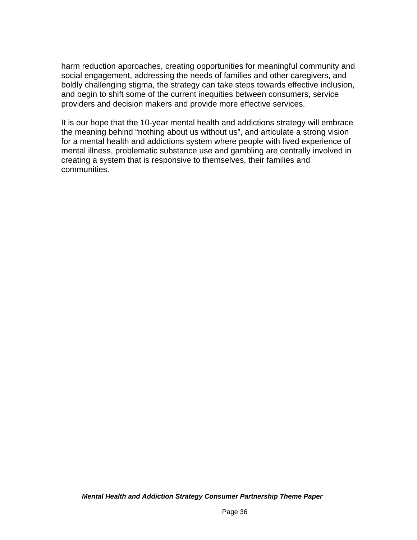harm reduction approaches, creating opportunities for meaningful community and social engagement, addressing the needs of families and other caregivers, and boldly challenging stigma, the strategy can take steps towards effective inclusion, and begin to shift some of the current inequities between consumers, service providers and decision makers and provide more effective services.

It is our hope that the 10-year mental health and addictions strategy will embrace the meaning behind "nothing about us without us", and articulate a strong vision for a mental health and addictions system where people with lived experience of mental illness, problematic substance use and gambling are centrally involved in creating a system that is responsive to themselves, their families and communities.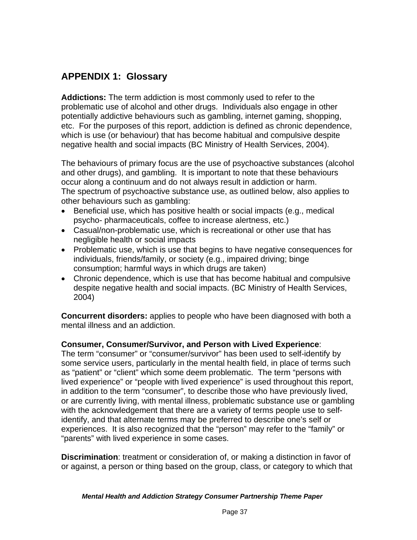# **APPENDIX 1: Glossary**

**Addictions:** The term addiction is most commonly used to refer to the problematic use of alcohol and other drugs. Individuals also engage in other potentially addictive behaviours such as gambling, internet gaming, shopping, etc. For the purposes of this report, addiction is defined as chronic dependence, which is use (or behaviour) that has become habitual and compulsive despite negative health and social impacts (BC Ministry of Health Services, 2004).

The behaviours of primary focus are the use of psychoactive substances (alcohol and other drugs), and gambling. It is important to note that these behaviours occur along a continuum and do not always result in addiction or harm. The spectrum of psychoactive substance use, as outlined below, also applies to other behaviours such as gambling:

- Beneficial use, which has positive health or social impacts (e.g., medical psycho- pharmaceuticals, coffee to increase alertness, etc.)
- Casual/non-problematic use, which is recreational or other use that has negligible health or social impacts
- Problematic use, which is use that begins to have negative consequences for individuals, friends/family, or society (e.g., impaired driving; binge consumption; harmful ways in which drugs are taken)
- Chronic dependence, which is use that has become habitual and compulsive despite negative health and social impacts. (BC Ministry of Health Services, 2004)

**Concurrent disorders:** applies to people who have been diagnosed with both a mental illness and an addiction.

### **Consumer, Consumer/Survivor, and Person with Lived Experience**:

The term "consumer" or "consumer/survivor" has been used to self-identify by some service users, particularly in the mental health field, in place of terms such as "patient" or "client" which some deem problematic. The term "persons with lived experience" or "people with lived experience" is used throughout this report, in addition to the term "consumer", to describe those who have previously lived, or are currently living, with mental illness, problematic substance use or gambling with the acknowledgement that there are a variety of terms people use to selfidentify, and that alternate terms may be preferred to describe one's self or experiences. It is also recognized that the "person" may refer to the "family" or "parents" with lived experience in some cases.

**Discrimination**: treatment or consideration of, or making a distinction in favor of or against, a person or thing based on the group, class, or category to which that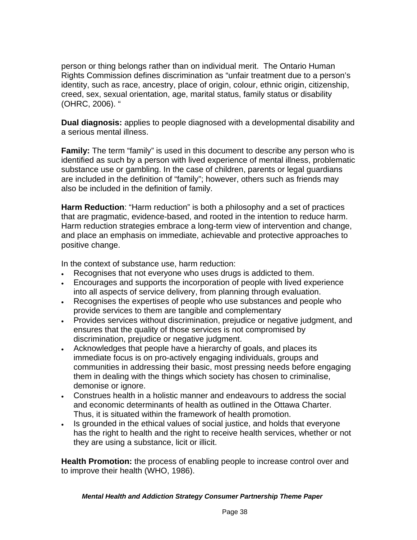person or thing belongs rather than on individual merit. The Ontario Human Rights Commission defines discrimination as "unfair treatment due to a person's identity, such as race, ancestry, place of origin, colour, ethnic origin, citizenship, creed, sex, sexual orientation, age, marital status, family status or disability (OHRC, 2006). "

**Dual diagnosis:** applies to people diagnosed with a developmental disability and a serious mental illness.

**Family:** The term "family" is used in this document to describe any person who is identified as such by a person with lived experience of mental illness, problematic substance use or gambling. In the case of children, parents or legal guardians are included in the definition of "family"; however, others such as friends may also be included in the definition of family.

**Harm Reduction**: "Harm reduction" is both a philosophy and a set of practices that are pragmatic, evidence-based, and rooted in the intention to reduce harm. Harm reduction strategies embrace a long-term view of intervention and change, and place an emphasis on immediate, achievable and protective approaches to positive change.

In the context of substance use, harm reduction:

- Recognises that not everyone who uses drugs is addicted to them.
- Encourages and supports the incorporation of people with lived experience into all aspects of service delivery, from planning through evaluation.
- Recognises the expertises of people who use substances and people who provide services to them are tangible and complementary
- Provides services without discrimination, prejudice or negative judgment, and ensures that the quality of those services is not compromised by discrimination, prejudice or negative judgment.
- Acknowledges that people have a hierarchy of goals, and places its immediate focus is on pro-actively engaging individuals, groups and communities in addressing their basic, most pressing needs before engaging them in dealing with the things which society has chosen to criminalise, demonise or ignore.
- Construes health in a holistic manner and endeavours to address the social and economic determinants of health as outlined in the Ottawa Charter. Thus, it is situated within the framework of health promotion.
- Is grounded in the ethical values of social justice, and holds that everyone has the right to health and the right to receive health services, whether or not they are using a substance, licit or illicit.

**Health Promotion:** the process of enabling people to increase control over and to improve their health (WHO, 1986).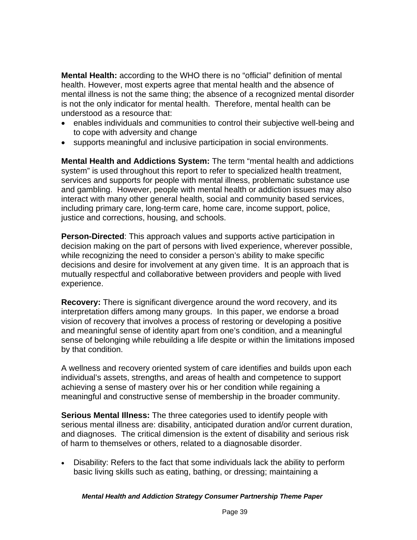**Mental Health:** according to the WHO there is no "official" definition of mental health. However, most experts agree that mental health and the absence of mental illness is not the same thing; the absence of a recognized mental disorder is not the only indicator for mental health. Therefore, mental health can be understood as a resource that:

- enables individuals and communities to control their subjective well-being and to cope with adversity and change
- supports meaningful and inclusive participation in social environments.

**Mental Health and Addictions System:** The term "mental health and addictions system" is used throughout this report to refer to specialized health treatment, services and supports for people with mental illness, problematic substance use and gambling. However, people with mental health or addiction issues may also interact with many other general health, social and community based services, including primary care, long-term care, home care, income support, police, justice and corrections, housing, and schools.

**Person-Directed**: This approach values and supports active participation in decision making on the part of persons with lived experience, wherever possible, while recognizing the need to consider a person's ability to make specific decisions and desire for involvement at any given time. It is an approach that is mutually respectful and collaborative between providers and people with lived experience.

**Recovery:** There is significant divergence around the word recovery, and its interpretation differs among many groups. In this paper, we endorse a broad vision of recovery that involves a process of restoring or developing a positive and meaningful sense of identity apart from one's condition, and a meaningful sense of belonging while rebuilding a life despite or within the limitations imposed by that condition.

A wellness and recovery oriented system of care identifies and builds upon each individual's assets, strengths, and areas of health and competence to support achieving a sense of mastery over his or her condition while regaining a meaningful and constructive sense of membership in the broader community.

**Serious Mental Illness:** The three categories used to identify people with serious mental illness are: disability, anticipated duration and/or current duration, and diagnoses. The critical dimension is the extent of disability and serious risk of harm to themselves or others, related to a diagnosable disorder.

 Disability: Refers to the fact that some individuals lack the ability to perform basic living skills such as eating, bathing, or dressing; maintaining a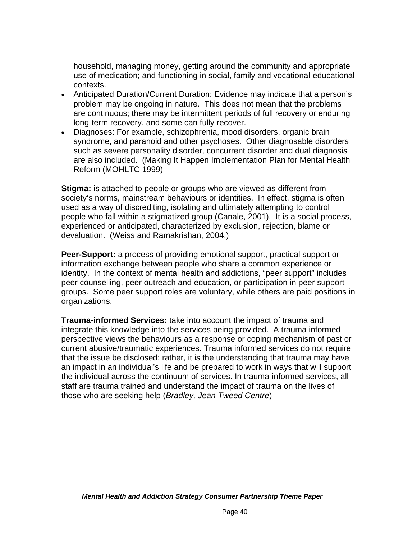household, managing money, getting around the community and appropriate use of medication; and functioning in social, family and vocational-educational contexts.

- Anticipated Duration/Current Duration: Evidence may indicate that a person's problem may be ongoing in nature. This does not mean that the problems are continuous; there may be intermittent periods of full recovery or enduring long-term recovery, and some can fully recover.
- Diagnoses: For example, schizophrenia, mood disorders, organic brain syndrome, and paranoid and other psychoses. Other diagnosable disorders such as severe personality disorder, concurrent disorder and dual diagnosis are also included. (Making It Happen Implementation Plan for Mental Health Reform (MOHLTC 1999)

**Stigma:** is attached to people or groups who are viewed as different from society's norms, mainstream behaviours or identities. In effect, stigma is often used as a way of discrediting, isolating and ultimately attempting to control people who fall within a stigmatized group (Canale, 2001). It is a social process, experienced or anticipated, characterized by exclusion, rejection, blame or devaluation. (Weiss and Ramakrishan, 2004.)

**Peer-Support:** a process of providing emotional support, practical support or information exchange between people who share a common experience or identity. In the context of mental health and addictions, "peer support" includes peer counselling, peer outreach and education, or participation in peer support groups. Some peer support roles are voluntary, while others are paid positions in organizations.

**Trauma-informed Services:** take into account the impact of trauma and integrate this knowledge into the services being provided. A trauma informed perspective views the behaviours as a response or coping mechanism of past or current abusive/traumatic experiences. Trauma informed services do not require that the issue be disclosed; rather, it is the understanding that trauma may have an impact in an individual's life and be prepared to work in ways that will support the individual across the continuum of services. In trauma-informed services, all staff are trauma trained and understand the impact of trauma on the lives of those who are seeking help (*Bradley, Jean Tweed Centre*)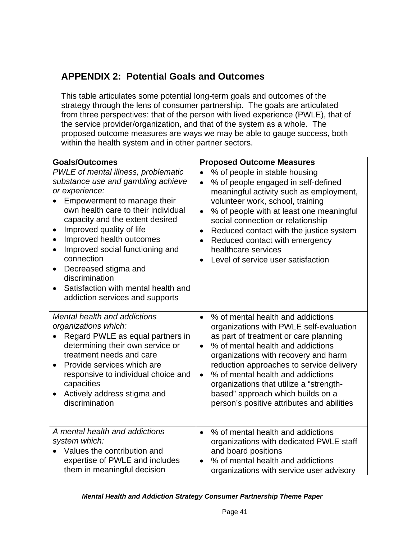# **APPENDIX 2: Potential Goals and Outcomes**

This table articulates some potential long-term goals and outcomes of the strategy through the lens of consumer partnership. The goals are articulated from three perspectives: that of the person with lived experience (PWLE), that of the service provider/organization, and that of the system as a whole. The proposed outcome measures are ways we may be able to gauge success, both within the health system and in other partner sectors.

| <b>Goals/Outcomes</b>                                                                                                                                                                                                                                                                                                                                                                                                                                                                              | <b>Proposed Outcome Measures</b>                                                                                                                                                                                                                                                                                                                                                                                                                             |
|----------------------------------------------------------------------------------------------------------------------------------------------------------------------------------------------------------------------------------------------------------------------------------------------------------------------------------------------------------------------------------------------------------------------------------------------------------------------------------------------------|--------------------------------------------------------------------------------------------------------------------------------------------------------------------------------------------------------------------------------------------------------------------------------------------------------------------------------------------------------------------------------------------------------------------------------------------------------------|
| PWLE of mental illness, problematic<br>substance use and gambling achieve<br>or experience:<br>Empowerment to manage their<br>own health care to their individual<br>capacity and the extent desired<br>Improved quality of life<br>$\bullet$<br>Improved health outcomes<br>$\bullet$<br>Improved social functioning and<br>$\bullet$<br>connection<br>Decreased stigma and<br>$\bullet$<br>discrimination<br>Satisfaction with mental health and<br>$\bullet$<br>addiction services and supports | % of people in stable housing<br>$\bullet$<br>% of people engaged in self-defined<br>$\bullet$<br>meaningful activity such as employment,<br>volunteer work, school, training<br>% of people with at least one meaningful<br>$\bullet$<br>social connection or relationship<br>Reduced contact with the justice system<br>$\bullet$<br>Reduced contact with emergency<br>$\bullet$<br>healthcare services<br>Level of service user satisfaction<br>$\bullet$ |
| Mental health and addictions<br>organizations which:<br>Regard PWLE as equal partners in<br>determining their own service or<br>treatment needs and care<br>Provide services which are<br>$\bullet$<br>responsive to individual choice and<br>capacities<br>Actively address stigma and<br>$\bullet$<br>discrimination                                                                                                                                                                             | % of mental health and addictions<br>$\bullet$<br>organizations with PWLE self-evaluation<br>as part of treatment or care planning<br>% of mental health and addictions<br>$\bullet$<br>organizations with recovery and harm<br>reduction approaches to service delivery<br>% of mental health and addictions<br>$\bullet$<br>organizations that utilize a "strength-<br>based" approach which builds on a<br>person's positive attributes and abilities     |
| A mental health and addictions<br>system which:<br>Values the contribution and<br>expertise of PWLE and includes<br>them in meaningful decision                                                                                                                                                                                                                                                                                                                                                    | % of mental health and addictions<br>$\bullet$<br>organizations with dedicated PWLE staff<br>and board positions<br>% of mental health and addictions<br>$\bullet$<br>organizations with service user advisory                                                                                                                                                                                                                                               |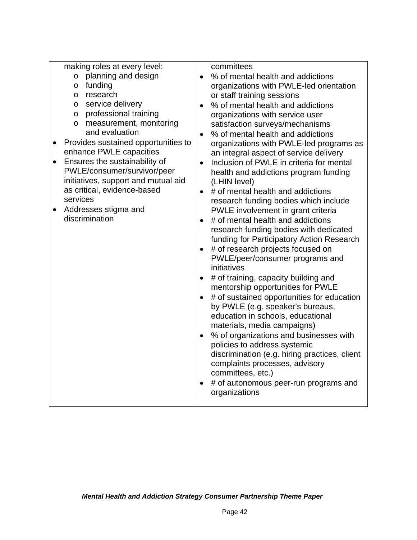|           | making roles at every level:        |           | committees                                                                    |
|-----------|-------------------------------------|-----------|-------------------------------------------------------------------------------|
|           | planning and design<br>$\circ$      | $\bullet$ | % of mental health and addictions                                             |
|           | funding<br>$\circ$                  |           | organizations with PWLE-led orientation                                       |
|           | research<br>O                       |           | or staff training sessions                                                    |
|           | service delivery<br>O               | $\bullet$ | % of mental health and addictions                                             |
|           | professional training<br>$\circ$    |           | organizations with service user                                               |
|           | measurement, monitoring<br>$\circ$  |           | satisfaction surveys/mechanisms                                               |
|           | and evaluation                      |           | % of mental health and addictions                                             |
|           | Provides sustained opportunities to |           | organizations with PWLE-led programs as                                       |
|           | enhance PWLE capacities             |           | an integral aspect of service delivery                                        |
|           | Ensures the sustainability of       | $\bullet$ | Inclusion of PWLE in criteria for mental                                      |
|           | PWLE/consumer/survivor/peer         |           | health and addictions program funding                                         |
|           | initiatives, support and mutual aid |           | (LHIN level)                                                                  |
|           | as critical, evidence-based         | $\bullet$ | # of mental health and addictions                                             |
|           | services                            |           | research funding bodies which include                                         |
| $\bullet$ | Addresses stigma and                |           | PWLE involvement in grant criteria                                            |
|           | discrimination                      | $\bullet$ | # of mental health and addictions                                             |
|           |                                     |           | research funding bodies with dedicated                                        |
|           |                                     |           | funding for Participatory Action Research                                     |
|           |                                     |           | # of research projects focused on                                             |
|           |                                     |           | PWLE/peer/consumer programs and                                               |
|           |                                     |           | initiatives                                                                   |
|           |                                     | $\bullet$ | # of training, capacity building and                                          |
|           |                                     |           | mentorship opportunities for PWLE                                             |
|           |                                     |           | # of sustained opportunities for education                                    |
|           |                                     |           | by PWLE (e.g. speaker's bureaus,                                              |
|           |                                     |           | education in schools, educational                                             |
|           |                                     |           | materials, media campaigns)                                                   |
|           |                                     |           | % of organizations and businesses with                                        |
|           |                                     |           | policies to address systemic<br>discrimination (e.g. hiring practices, client |
|           |                                     |           | complaints processes, advisory                                                |
|           |                                     |           | committees, etc.)                                                             |
|           |                                     |           | # of autonomous peer-run programs and                                         |
|           |                                     |           | organizations                                                                 |
|           |                                     |           |                                                                               |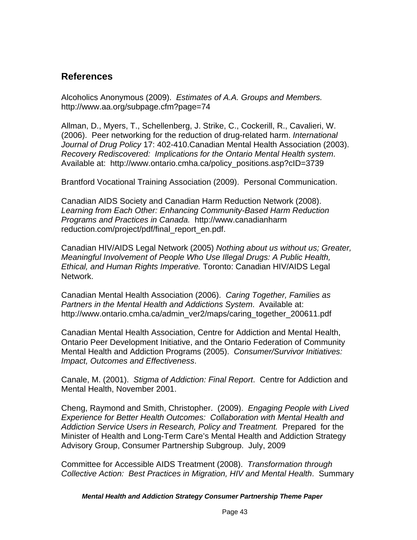# **References**

Alcoholics Anonymous (2009). *Estimates of A.A. Groups and Members.* http://www.aa.org/subpage.cfm?page=74

Allman, D., Myers, T., Schellenberg, J. Strike, C., Cockerill, R., Cavalieri, W. (2006). Peer networking for the reduction of drug-related harm. *International Journal of Drug Policy* 17: 402-410.Canadian Mental Health Association (2003). *Recovery Rediscovered: Implications for the Ontario Mental Health system*. Available at: [http://www.ontario.cmha.ca/policy\\_positions.asp?cID=3739](http://www.ontario.cmha.ca/policy_positions.asp?cID=3739) 

Brantford Vocational Training Association (2009). Personal Communication.

Canadian AIDS Society and Canadian Harm Reduction Network (2008). *Learning from Each Other: Enhancing Community-Based Harm Reduction Programs and Practices in Canada.* [http://www.canadianharm](http://www.canadianharm/) reduction.com/project/pdf/final\_report\_en.pdf.

Canadian HIV/AIDS Legal Network (2005) *Nothing about us without us; Greater, Meaningful Involvement of People Who Use Illegal Drugs: A Public Health, Ethical, and Human Rights Imperative.* Toronto: Canadian HIV/AIDS Legal Network.

Canadian Mental Health Association (2006). *Caring Together, Families as Partners in the Mental Health and Addictions System*. Available at: [http://www.ontario.cmha.ca/admin\\_ver2/maps/caring\\_together\\_200611.pdf](http://www.ontario.cmha.ca/admin_ver2/maps/caring_together_200611.pdf) 

Canadian Mental Health Association, Centre for Addiction and Mental Health, Ontario Peer Development Initiative, and the Ontario Federation of Community Mental Health and Addiction Programs (2005). *Consumer/Survivor Initiatives: Impact, Outcomes and Effectiveness*.

Canale, M. (2001). *Stigma of Addiction: Final Report*. Centre for Addiction and Mental Health, November 2001.

Cheng, Raymond and Smith, Christopher. (2009). *Engaging People with Lived Experience for Better Health Outcomes: Collaboration with Mental Health and Addiction Service Users in Research, Policy and Treatment.* Prepared for the Minister of Health and Long-Term Care's Mental Health and Addiction Strategy Advisory Group, Consumer Partnership Subgroup. July, 2009

Committee for Accessible AIDS Treatment (2008). *Transformation through Collective Action: Best Practices in Migration, HIV and Mental Health*. Summary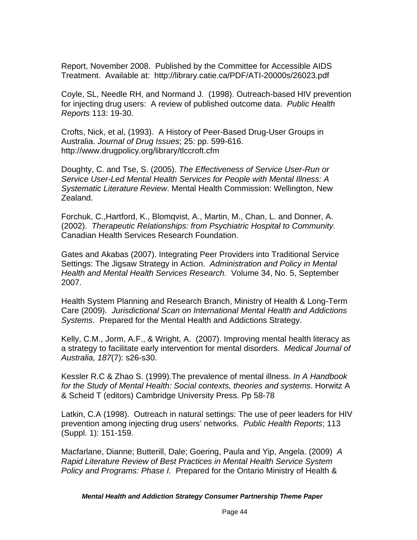Report, November 2008. Published by the Committee for Accessible AIDS Treatment. Available at: <http://library.catie.ca/PDF/ATI-20000s/26023.pdf>

Coyle, SL, Needle RH, and Normand J. (1998). Outreach-based HIV prevention for injecting drug users: A review of published outcome data. *Public Health Reports* 113: 19-30.

Crofts, Nick, et al, (1993). A History of Peer-Based Drug-User Groups in Australia. *Journal of Drug Issues*; 25: pp. 599-616. http://www.drugpolicy.org/library/tlccroft.cfm

Doughty, C. and Tse, S. (2005). *The Effectiveness of Service User-Run or Service User-Led Mental Health Services for People with Mental Illness: A Systematic Literature Review*. Mental Health Commission: Wellington, New Zealand.

Forchuk, C.,Hartford, K., Blomqvist, A., Martin, M., Chan, L. and Donner, A. (2002). *Therapeutic Relationships: from Psychiatric Hospital to Community.* Canadian Health Services Research Foundation.

Gates and Akabas (2007). Integrating Peer Providers into Traditional Service Settings: The Jigsaw Strategy in Action. *Administration and Policy in Mental Health and Mental Health Services Research.* Volume 34, No. 5, September 2007.

Health System Planning and Research Branch, Ministry of Health & Long-Term Care (2009). *Jurisdictional Scan on International Mental Health and Addictions Systems*. Prepared for the Mental Health and Addictions Strategy.

Kelly, C.M., Jorm, A.F., & Wright, A. (2007). Improving mental health literacy as a strategy to facilitate early intervention for mental disorders. *Medical Journal of Australia, 187*(7): s26-s30.

Kessler R.C & Zhao S. (1999).The prevalence of mental illness. *In A Handbook for the Study of Mental Health: Social contexts, theories and systems*. Horwitz A & Scheid T (editors) Cambridge University Press. Pp 58-78

Latkin, C.A (1998). Outreach in natural settings: The use of peer leaders for HIV prevention among injecting drug users' networks. *Public Health Reports*; 113 (Suppl. 1): 151-159.

Macfarlane, Dianne; Butterill, Dale; Goering, Paula and Yip, Angela. (2009) *A Rapid Literature Review of Best Practices in Mental Health Service System Policy and Programs: Phase I.* Prepared for the Ontario Ministry of Health &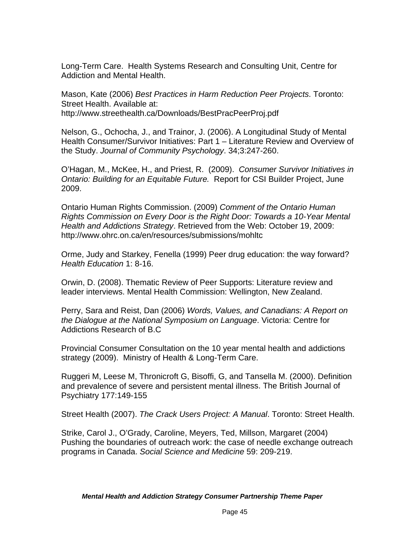Long-Term Care. Health Systems Research and Consulting Unit, Centre for Addiction and Mental Health.

Mason, Kate (2006) *Best Practices in Harm Reduction Peer Projects*. Toronto: Street Health. Available at: <http://www.streethealth.ca/Downloads/BestPracPeerProj.pdf>

Nelson, G., Ochocha, J., and Trainor, J. (2006). A Longitudinal Study of Mental Health Consumer/Survivor Initiatives: Part 1 – Literature Review and Overview of the Study. *Journal of Community Psychology*. 34;3:247-260.

O'Hagan, M., McKee, H., and Priest, R. (2009). *Consumer Survivor Initiatives in Ontario: Building for an Equitable Future.* Report for CSI Builder Project, June 2009.

Ontario Human Rights Commission. (2009) *Comment of the Ontario Human Rights Commission on Every Door is the Right Door: Towards a 10-Year Mental Health and Addictions Strategy*. Retrieved from the Web: October 19, 2009: <http://www.ohrc.on.ca/en/resources/submissions/mohltc>

Orme, Judy and Starkey, Fenella (1999) Peer drug education: the way forward? *Health Education* 1: 8-16.

Orwin, D. (2008). Thematic Review of Peer Supports: Literature review and leader interviews. Mental Health Commission: Wellington, New Zealand.

Perry, Sara and Reist, Dan (2006) *Words, Values, and Canadians: A Report on the Dialogue at the National Symposium on Language*. Victoria: Centre for Addictions Research of B.C

Provincial Consumer Consultation on the 10 year mental health and addictions strategy (2009). Ministry of Health & Long-Term Care.

Ruggeri M, Leese M, Thronicroft G, Bisoffi, G, and Tansella M. (2000). Definition and prevalence of severe and persistent mental illness. The British Journal of Psychiatry 177:149-155

Street Health (2007). *The Crack Users Project: A Manual*. Toronto: Street Health.

Strike, Carol J., O'Grady, Caroline, Meyers, Ted, Millson, Margaret (2004) Pushing the boundaries of outreach work: the case of needle exchange outreach programs in Canada. *Social Science and Medicine* 59: 209-219.